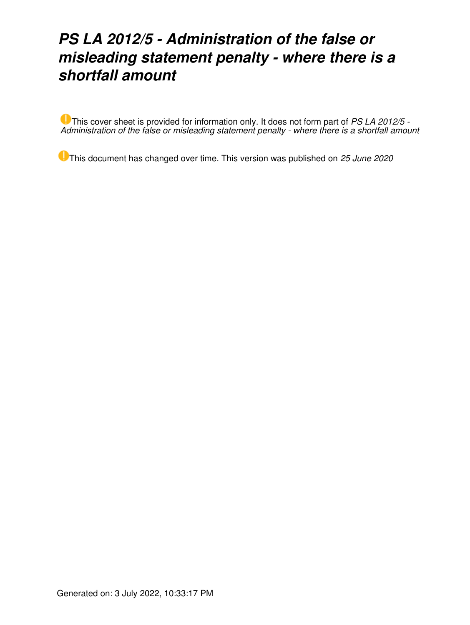# *PS LA 2012/5 - Administration of the false or misleading statement penalty - where there is a shortfall amount*

This cover sheet is provided for information only. It does not form part of *PS LA 2012/5 - Administration of the false or misleading statement penalty - where there is a shortfall amount*

This document has changed over time. This version was published on *25 June 2020*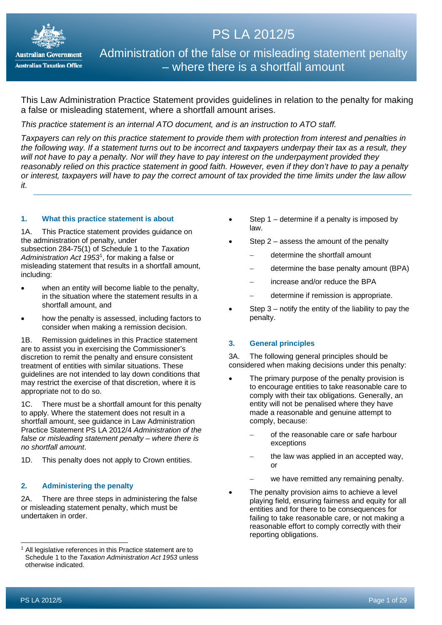

# PS LA 2012/5

Administration of the false or misleading statement penalty – where there is a shortfall amount

This Law Administration Practice Statement provides guidelines in relation to the penalty for making a false or misleading statement, where a shortfall amount arises.

*This practice statement is an internal ATO document, and is an instruction to ATO staff.*

*Taxpayers can rely on this practice statement to provide them with protection from interest and penalties in the following way. If a statement turns out to be incorrect and taxpayers underpay their tax as a result, they will not have to pay a penalty. Nor will they have to pay interest on the underpayment provided they reasonably relied on this practice statement in good faith. However, even if they don't have to pay a penalty or interest, taxpayers will have to pay the correct amount of tax provided the time limits under the law allow it.*

# **1. What this practice statement is about**

1A. This Practice statement provides guidance on the administration of penalty, under subsection 284-75(1) of Schedule 1 to the *Taxation Administration Act 1953*[1](#page-1-0) , for making a false or misleading statement that results in a shortfall amount, including:

- when an entity will become liable to the penalty, in the situation where the statement results in a shortfall amount, and
- how the penalty is assessed, including factors to consider when making a remission decision.

1B. Remission guidelines in this Practice statement are to assist you in exercising the Commissioner's discretion to remit the penalty and ensure consistent treatment of entities with similar situations. These guidelines are not intended to lay down conditions that may restrict the exercise of that discretion, where it is appropriate not to do so.

1C. There must be a shortfall amount for this penalty to apply. Where the statement does not result in a shortfall amount, see guidance in Law Administration Practice Statement PS LA 2012/4 *Administration of the false or misleading statement penalty – where there is no shortfall amount*.

1D. This penalty does not apply to Crown entities.

# **2. Administering the penalty**

2A. There are three steps in administering the false or misleading statement penalty, which must be undertaken in order.

- Step  $1$  determine if a penalty is imposed by law.
- Step  $2$  assess the amount of the penalty
	- − determine the shortfall amount
	- − determine the base penalty amount (BPA)
	- − increase and/or reduce the BPA
	- − determine if remission is appropriate.
- Step  $3$  notify the entity of the liability to pay the penalty.

# **3. General principles**

3A. The following general principles should be considered when making decisions under this penalty:

- The primary purpose of the penalty provision is to encourage entities to take reasonable care to comply with their tax obligations. Generally, an entity will not be penalised where they have made a reasonable and genuine attempt to comply, because:
	- − of the reasonable care or safe harbour exceptions
	- the law was applied in an accepted way, or
	- we have remitted any remaining penalty.
- The penalty provision aims to achieve a level playing field, ensuring fairness and equity for all entities and for there to be consequences for failing to take reasonable care, or not making a reasonable effort to comply correctly with their reporting obligations.

<span id="page-1-0"></span>All legislative references in this Practice statement are to Schedule 1 to the *Taxation Administration Act 1953* unless otherwise indicated.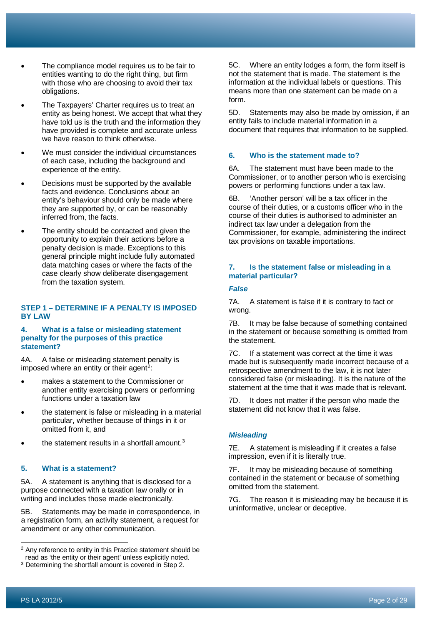- The compliance model requires us to be fair to entities wanting to do the right thing, but firm with those who are choosing to avoid their tax obligations.
- The Taxpayers' Charter requires us to treat an entity as being honest. We accept that what they have told us is the truth and the information they have provided is complete and accurate unless we have reason to think otherwise.
- We must consider the individual circumstances of each case, including the background and experience of the entity.
- Decisions must be supported by the available facts and evidence. Conclusions about an entity's behaviour should only be made where they are supported by, or can be reasonably inferred from, the facts.
- The entity should be contacted and given the opportunity to explain their actions before a penalty decision is made. Exceptions to this general principle might include fully automated data matching cases or where the facts of the case clearly show deliberate disengagement from the taxation system.

# **STEP 1 – DETERMINE IF A PENALTY IS IMPOSED BY LAW**

# **4. What is a false or misleading statement penalty for the purposes of this practice statement?**

4A. A false or misleading statement penalty is imposed where an entity or their agent<sup>2</sup>:

- makes a statement to the Commissioner or another entity exercising powers or performing functions under a taxation law
- the statement is false or misleading in a material particular, whether because of things in it or omitted from it, and
- the statement results in a shortfall amount. $3$

# **5. What is a statement?**

5A. A statement is anything that is disclosed for a purpose connected with a taxation law orally or in writing and includes those made electronically.

5B. Statements may be made in correspondence, in a registration form, an activity statement, a request for amendment or any other communication.

5C. Where an entity lodges a form, the form itself is not the statement that is made. The statement is the information at the individual labels or questions. This means more than one statement can be made on a form.

5D. Statements may also be made by omission, if an entity fails to include material information in a document that requires that information to be supplied.

# **6. Who is the statement made to?**

6A. The statement must have been made to the Commissioner, or to another person who is exercising powers or performing functions under a tax law.

6B. 'Another person' will be a tax officer in the course of their duties, or a customs officer who in the course of their duties is authorised to administer an indirect tax law under a delegation from the Commissioner, for example, administering the indirect tax provisions on taxable importations.

# **7. Is the statement false or misleading in a material particular?**

# *False*

7A. A statement is false if it is contrary to fact or wrong.

7B. It may be false because of something contained in the statement or because something is omitted from the statement.

7C. If a statement was correct at the time it was made but is subsequently made incorrect because of a retrospective amendment to the law, it is not later considered false (or misleading). It is the nature of the statement at the time that it was made that is relevant.

7D. It does not matter if the person who made the statement did not know that it was false.

# *Misleading*

7E. A statement is misleading if it creates a false impression, even if it is literally true.

7F. It may be misleading because of something contained in the statement or because of something omitted from the statement.

7G. The reason it is misleading may be because it is uninformative, unclear or deceptive.

<span id="page-2-0"></span><sup>&</sup>lt;sup>2</sup> Any reference to entity in this Practice statement should be read as 'the entity or their agent' unless explicitly noted.

<span id="page-2-1"></span><sup>&</sup>lt;sup>3</sup> Determining the shortfall amount is covered in Step 2.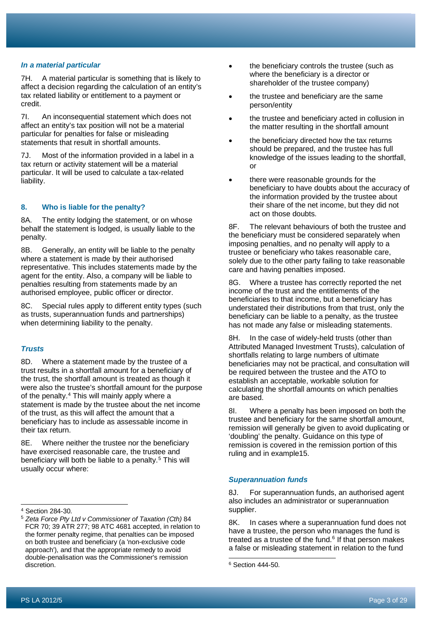#### *In a material particular*

7H. A material particular is something that is likely to affect a decision regarding the calculation of an entity's tax related liability or entitlement to a payment or credit.

7I. An inconsequential statement which does not affect an entity's tax position will not be a material particular for penalties for false or misleading statements that result in shortfall amounts.

7J. Most of the information provided in a label in a tax return or activity statement will be a material particular. It will be used to calculate a tax-related liability.

# **8. Who is liable for the penalty?**

8A. The entity lodging the statement, or on whose behalf the statement is lodged, is usually liable to the penalty.

8B. Generally, an entity will be liable to the penalty where a statement is made by their authorised representative. This includes statements made by the agent for the entity. Also, a company will be liable to penalties resulting from statements made by an authorised employee, public officer or director.

8C. Special rules apply to different entity types (such as trusts, superannuation funds and partnerships) when determining liability to the penalty.

#### *Trusts*

8D. Where a statement made by the trustee of a trust results in a shortfall amount for a beneficiary of the trust, the shortfall amount is treated as though it were also the trustee's shortfall amount for the purpose of the penalty.[4](#page-3-0) This will mainly apply where a statement is made by the trustee about the net income of the trust, as this will affect the amount that a beneficiary has to include as assessable income in their tax return.

8E. Where neither the trustee nor the beneficiary have exercised reasonable care, the trustee and beneficiary will both be liable to a penalty. [5](#page-3-1) This will usually occur where:

- the beneficiary controls the trustee (such as where the beneficiary is a director or shareholder of the trustee company)
- the trustee and beneficiary are the same person/entity
- the trustee and beneficiary acted in collusion in the matter resulting in the shortfall amount
- the beneficiary directed how the tax returns should be prepared, and the trustee has full knowledge of the issues leading to the shortfall, or
- there were reasonable grounds for the beneficiary to have doubts about the accuracy of the information provided by the trustee about their share of the net income, but they did not act on those doubts.

8F. The relevant behaviours of both the trustee and the beneficiary must be considered separately when imposing penalties, and no penalty will apply to a trustee or beneficiary who takes reasonable care, solely due to the other party failing to take reasonable care and having penalties imposed.

8G. Where a trustee has correctly reported the net income of the trust and the entitlements of the beneficiaries to that income, but a beneficiary has understated their distributions from that trust, only the beneficiary can be liable to a penalty, as the trustee has not made any false or misleading statements.

8H. In the case of widely-held trusts (other than Attributed Managed Investment Trusts), calculation of shortfalls relating to large numbers of ultimate beneficiaries may not be practical, and consultation will be required between the trustee and the ATO to establish an acceptable, workable solution for calculating the shortfall amounts on which penalties are based.

8I. Where a penalty has been imposed on both the trustee and beneficiary for the same shortfall amount, remission will generally be given to avoid duplicating or 'doubling' the penalty. Guidance on this type of remission is covered in the remission portion of this ruling and in example15.

## *Superannuation funds*

8J. For superannuation funds, an authorised agent also includes an administrator or superannuation supplier.

8K. In cases where a superannuation fund does not have a trustee, the person who manages the fund is treated as a trustee of the fund. $6$  If that person makes a false or misleading statement in relation to the fund

<span id="page-3-0"></span><sup>4</sup> Section 284-30.

<span id="page-3-2"></span><span id="page-3-1"></span><sup>5</sup> *Zeta Force Pty Ltd v Commissioner of Taxation (Cth)* 84 FCR 70; 39 ATR 277; 98 ATC 4681 accepted, in relation to the former penalty regime, that penalties can be imposed on both trustee and beneficiary (a 'non-exclusive code approach'), and that the appropriate remedy to avoid double-penalisation was the Commissioner's remission discretion.

<sup>6</sup> Section 444-50.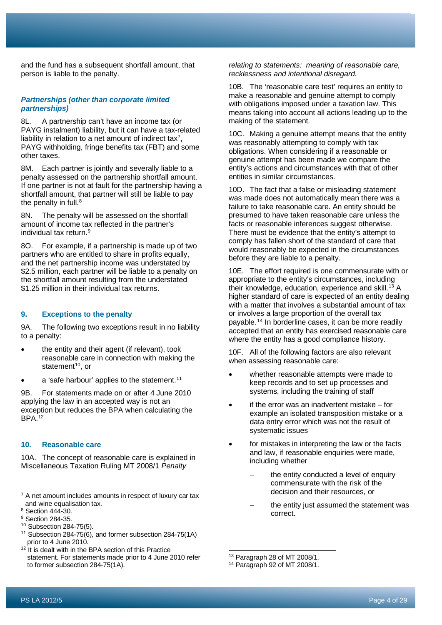and the fund has a subsequent shortfall amount, that person is liable to the penalty.

#### *Partnerships (other than corporate limited partnerships)*

8L. A partnership can't have an income tax (or PAYG instalment) liability, but it can have a tax-related liability in relation to a net amount of indirect tax<sup>[7](#page-4-0)</sup>, PAYG withholding, fringe benefits tax (FBT) and some other taxes.

8M. Each partner is jointly and severally liable to a penalty assessed on the partnership shortfall amount. If one partner is not at fault for the partnership having a shortfall amount, that partner will still be liable to pay the penalty in full.<sup>[8](#page-4-1)</sup>

8N. The penalty will be assessed on the shortfall amount of income tax reflected in the partner's individual tax return. [9](#page-4-2)

8O. For example, if a partnership is made up of two partners who are entitled to share in profits equally, and the net partnership income was understated by \$2.5 million, each partner will be liable to a penalty on the shortfall amount resulting from the understated \$1.25 million in their individual tax returns.

### **9. Exceptions to the penalty**

9A. The following two exceptions result in no liability to a penalty:

- the entity and their agent (if relevant), took reasonable care in connection with making the statement $10$ , or
- a 'safe harbour' applies to the statement.<sup>[11](#page-4-4)</sup>

9B. For statements made on or after 4 June 2010 applying the law in an accepted way is not an exception but reduces the BPA when calculating the BPA.[12](#page-4-5)

# **10. Reasonable care**

10A. The concept of reasonable care is explained in Miscellaneous Taxation Ruling MT 2008/1 *Penalty* 

*relating to statements: meaning of reasonable care, recklessness and intentional disregard.*

10B. The 'reasonable care test' requires an entity to make a reasonable and genuine attempt to comply with obligations imposed under a taxation law. This means taking into account all actions leading up to the making of the statement.

10C. Making a genuine attempt means that the entity was reasonably attempting to comply with tax obligations. When considering if a reasonable or genuine attempt has been made we compare the entity's actions and circumstances with that of other entities in similar circumstances.

10D. The fact that a false or misleading statement was made does not automatically mean there was a failure to take reasonable care. An entity should be presumed to have taken reasonable care unless the facts or reasonable inferences suggest otherwise. There must be evidence that the entity's attempt to comply has fallen short of the standard of care that would reasonably be expected in the circumstances before they are liable to a penalty.

10E. The effort required is one commensurate with or appropriate to the entity's circumstances, including their knowledge, education, experience and skill.<sup>[13](#page-4-6)</sup> A higher standard of care is expected of an entity dealing with a matter that involves a substantial amount of tax or involves a large proportion of the overall tax payable.[14](#page-4-7) In borderline cases, it can be more readily accepted that an entity has exercised reasonable care where the entity has a good compliance history.

10F. All of the following factors are also relevant when assessing reasonable care:

- whether reasonable attempts were made to keep records and to set up processes and systems, including the training of staff
- if the error was an inadvertent mistake  $-$  for example an isolated transposition mistake or a data entry error which was not the result of systematic issues
- for mistakes in interpreting the law or the facts and law, if reasonable enquiries were made, including whether
	- the entity conducted a level of enquiry commensurate with the risk of the decision and their resources, or
	- the entity just assumed the statement was correct.

<span id="page-4-0"></span> $7$  A net amount includes amounts in respect of luxury car tax and wine equalisation tax.

<span id="page-4-1"></span><sup>8</sup> Section 444-30.

<span id="page-4-2"></span><sup>&</sup>lt;sup>9</sup> Section 284-35.

<span id="page-4-3"></span><sup>10</sup> Subsection 284-75(5).

<span id="page-4-4"></span><sup>&</sup>lt;sup>11</sup> Subsection 284-75(6), and former subsection 284-75(1A) prior to 4 June 2010.

<span id="page-4-7"></span><span id="page-4-6"></span><span id="page-4-5"></span> $12$  It is dealt with in the BPA section of this Practice statement. For statements made prior to 4 June 2010 refer to former subsection 284-75(1A).

<sup>13</sup> Paragraph 28 of MT 2008/1.

<sup>14</sup> Paragraph 92 of MT 2008/1.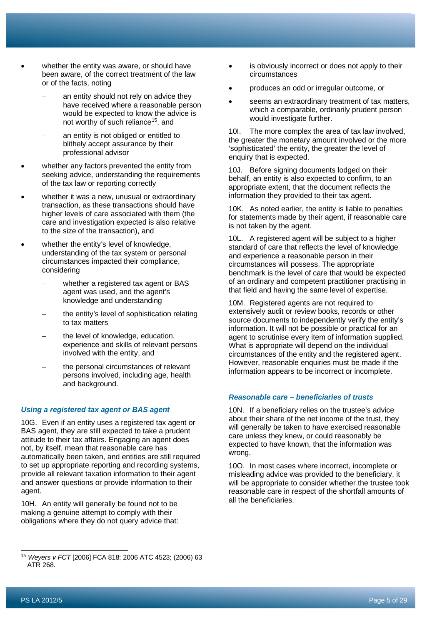- whether the entity was aware, or should have been aware, of the correct treatment of the law or of the facts, noting
	- an entity should not rely on advice they have received where a reasonable person would be expected to know the advice is not worthy of such reliance<sup>15</sup>, and
	- an entity is not obliged or entitled to blithely accept assurance by their professional advisor
- whether any factors prevented the entity from seeking advice, understanding the requirements of the tax law or reporting correctly
- whether it was a new, unusual or extraordinary transaction, as these transactions should have higher levels of care associated with them (the care and investigation expected is also relative to the size of the transaction), and
- whether the entity's level of knowledge, understanding of the tax system or personal circumstances impacted their compliance, considering
	- whether a registered tax agent or BAS agent was used, and the agent's knowledge and understanding
	- the entity's level of sophistication relating to tax matters
	- the level of knowledge, education, experience and skills of relevant persons involved with the entity, and
	- the personal circumstances of relevant persons involved, including age, health and background.

#### *Using a registered tax agent or BAS agent*

10G. Even if an entity uses a registered tax agent or BAS agent, they are still expected to take a prudent attitude to their tax affairs. Engaging an agent does not, by itself, mean that reasonable care has automatically been taken, and entities are still required to set up appropriate reporting and recording systems, provide all relevant taxation information to their agent and answer questions or provide information to their agent.

10H. An entity will generally be found not to be making a genuine attempt to comply with their obligations where they do not query advice that:

- is obviously incorrect or does not apply to their circumstances
- produces an odd or irregular outcome, or
- seems an extraordinary treatment of tax matters, which a comparable, ordinarily prudent person would investigate further.

10I. The more complex the area of tax law involved, the greater the monetary amount involved or the more 'sophisticated' the entity, the greater the level of enquiry that is expected.

10J. Before signing documents lodged on their behalf, an entity is also expected to confirm, to an appropriate extent, that the document reflects the information they provided to their tax agent.

10K. As noted earlier, the entity is liable to penalties for statements made by their agent, if reasonable care is not taken by the agent.

10L. A registered agent will be subject to a higher standard of care that reflects the level of knowledge and experience a reasonable person in their circumstances will possess. The appropriate benchmark is the level of care that would be expected of an ordinary and competent practitioner practising in that field and having the same level of expertise.

10M. Registered agents are not required to extensively audit or review books, records or other source documents to independently verify the entity's information. It will not be possible or practical for an agent to scrutinise every item of information supplied. What is appropriate will depend on the individual circumstances of the entity and the registered agent. However, reasonable enquiries must be made if the information appears to be incorrect or incomplete.

# *Reasonable care – beneficiaries of trusts*

10N. If a beneficiary relies on the trustee's advice about their share of the net income of the trust, they will generally be taken to have exercised reasonable care unless they knew, or could reasonably be expected to have known, that the information was wrong.

10O. In most cases where incorrect, incomplete or misleading advice was provided to the beneficiary, it will be appropriate to consider whether the trustee took reasonable care in respect of the shortfall amounts of all the beneficiaries.

<span id="page-5-0"></span><sup>15</sup> *Weyers v FCT* [2006] FCA 818; 2006 ATC 4523; (2006) 63 ATR 268.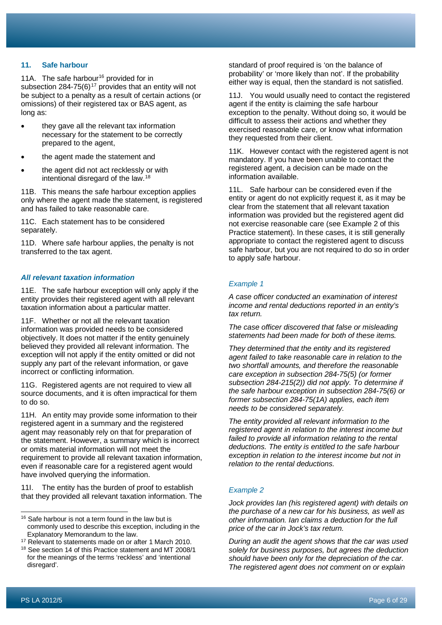# **11. Safe harbour**

11A. The safe harbour<sup>16</sup> provided for in subsection 284-75(6)<sup>[17](#page-6-1)</sup> provides that an entity will not be subject to a penalty as a result of certain actions (or omissions) of their registered tax or BAS agent, as long as:

- they gave all the relevant tax information necessary for the statement to be correctly prepared to the agent,
- the agent made the statement and
- the agent did not act recklessly or with intentional disregard of the law.[18](#page-6-2)

11B. This means the safe harbour exception applies only where the agent made the statement, is registered and has failed to take reasonable care.

11C. Each statement has to be considered separately.

11D. Where safe harbour applies, the penalty is not transferred to the tax agent.

#### *All relevant taxation information*

11E. The safe harbour exception will only apply if the entity provides their registered agent with all relevant taxation information about a particular matter.

11F. Whether or not all the relevant taxation information was provided needs to be considered objectively. It does not matter if the entity genuinely believed they provided all relevant information. The exception will not apply if the entity omitted or did not supply any part of the relevant information, or gave incorrect or conflicting information.

11G. Registered agents are not required to view all source documents, and it is often impractical for them to do so.

11H. An entity may provide some information to their registered agent in a summary and the registered agent may reasonably rely on that for preparation of the statement. However, a summary which is incorrect or omits material information will not meet the requirement to provide all relevant taxation information, even if reasonable care for a registered agent would have involved querying the information.

11I. The entity has the burden of proof to establish that they provided all relevant taxation information. The standard of proof required is 'on the balance of probability' or 'more likely than not'. If the probability either way is equal, then the standard is not satisfied.

11J. You would usually need to contact the registered agent if the entity is claiming the safe harbour exception to the penalty. Without doing so, it would be difficult to assess their actions and whether they exercised reasonable care, or know what information they requested from their client.

11K. However contact with the registered agent is not mandatory. If you have been unable to contact the registered agent, a decision can be made on the information available.

11L. Safe harbour can be considered even if the entity or agent do not explicitly request it, as it may be clear from the statement that all relevant taxation information was provided but the registered agent did not exercise reasonable care (see Example 2 of this Practice statement). In these cases, it is still generally appropriate to contact the registered agent to discuss safe harbour, but you are not required to do so in order to apply safe harbour.

#### *Example 1*

*A case officer conducted an examination of interest income and rental deductions reported in an entity's tax return.*

*The case officer discovered that false or misleading statements had been made for both of these items.*

*They determined that the entity and its registered agent failed to take reasonable care in relation to the two shortfall amounts, and therefore the reasonable care exception in subsection 284-75(5) (or former subsection 284-215(2)) did not apply. To determine if the safe harbour exception in subsection 284-75(6) or former subsection 284-75(1A) applies, each item needs to be considered separately.*

*The entity provided all relevant information to the registered agent in relation to the interest income but failed to provide all information relating to the rental deductions. The entity is entitled to the safe harbour exception in relation to the interest income but not in relation to the rental deductions.*

#### *Example 2*

*Jock provides Ian (his registered agent) with details on the purchase of a new car for his business, as well as other information. Ian claims a deduction for the full price of the car in Jock's tax return.*

*During an audit the agent shows that the car was used solely for business purposes, but agrees the deduction should have been only for the depreciation of the car. The registered agent does not comment on or explain* 

<span id="page-6-0"></span><sup>&</sup>lt;sup>16</sup> Safe harbour is not a term found in the law but is commonly used to describe this exception, including in the Explanatory Memorandum to the law.

<span id="page-6-1"></span><sup>&</sup>lt;sup>17</sup> Relevant to statements made on or after 1 March 2010.

<span id="page-6-2"></span><sup>18</sup> See section 14 of this Practice statement and MT 2008/1 for the meanings of the terms 'reckless' and 'intentional disregard'.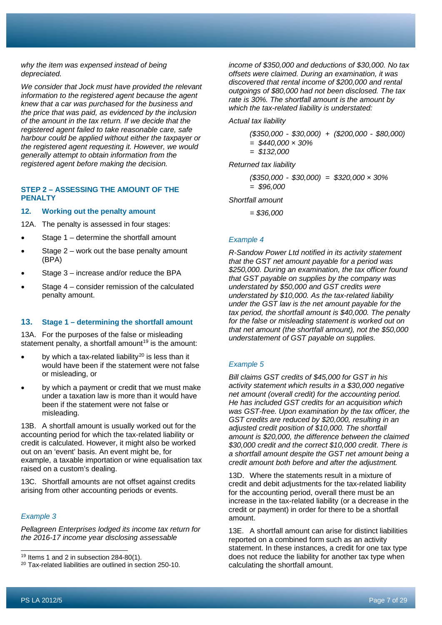*why the item was expensed instead of being depreciated.*

*We consider that Jock must have provided the relevant information to the registered agent because the agent knew that a car was purchased for the business and the price that was paid, as evidenced by the inclusion of the amount in the tax return. If we decide that the registered agent failed to take reasonable care, safe harbour could be applied without either the taxpayer or the registered agent requesting it. However, we would generally attempt to obtain information from the registered agent before making the decision.*

# **STEP 2 – ASSESSING THE AMOUNT OF THE PENALTY**

## **12. Working out the penalty amount**

12A. The penalty is assessed in four stages:

- Stage 1 determine the shortfall amount
- Stage  $2$  work out the base penalty amount (BPA)
- Stage 3 increase and/or reduce the BPA
- Stage  $4$  consider remission of the calculated penalty amount.

# **13. Stage 1 – determining the shortfall amount**

13A. For the purposes of the false or misleading statement penalty, a shortfall amount<sup>[19](#page-7-0)</sup> is the amount:

- by which a tax-related liability<sup>[20](#page-7-1)</sup> is less than it would have been if the statement were not false or misleading, or
- by which a payment or credit that we must make under a taxation law is more than it would have been if the statement were not false or misleading.

13B. A shortfall amount is usually worked out for the accounting period for which the tax-related liability or credit is calculated. However, it might also be worked out on an 'event' basis. An event might be, for example, a taxable importation or wine equalisation tax raised on a custom's dealing.

13C. Shortfall amounts are not offset against credits arising from other accounting periods or events.

#### *Example 3*

*Pellagreen Enterprises lodged its income tax return for the 2016-17 income year disclosing assessable* 

*income of \$350,000 and deductions of \$30,000. No tax offsets were claimed. During an examination, it was discovered that rental income of \$200,000 and rental outgoings of \$80,000 had not been disclosed. The tax rate is 30%. The shortfall amount is the amount by which the tax-related liability is understated:*

*Actual tax liability*

*(\$350,000 - \$30,000) + (\$200,000 - \$80,000) = \$440,000 × 30% = \$132,000*

*Returned tax liability*

*(\$350,000 - \$30,000) = \$320,000 × 30% = \$96,000*

*Shortfall amount*

*= \$36,000*

# *Example 4*

*R-Sandow Power Ltd notified in its activity statement that the GST net amount payable for a period was \$250,000. During an examination, the tax officer found that GST payable on supplies by the company was understated by \$50,000 and GST credits were understated by \$10,000. As the tax-related liability under the GST law is the net amount payable for the tax period, the shortfall amount is \$40,000. The penalty for the false or misleading statement is worked out on that net amount (the shortfall amount), not the \$50,000 understatement of GST payable on supplies.*

#### *Example 5*

*Bill claims GST credits of \$45,000 for GST in his activity statement which results in a \$30,000 negative net amount (overall credit) for the accounting period. He has included GST credits for an acquisition which was GST-free. Upon examination by the tax officer, the GST credits are reduced by \$20,000, resulting in an adjusted credit position of \$10,000. The shortfall amount is \$20,000, the difference between the claimed \$30,000 credit and the correct \$10,000 credit. There is a shortfall amount despite the GST net amount being a credit amount both before and after the adjustment.*

13D. Where the statements result in a mixture of credit and debit adjustments for the tax-related liability for the accounting period, overall there must be an increase in the tax-related liability (or a decrease in the credit or payment) in order for there to be a shortfall amount.

13E. A shortfall amount can arise for distinct liabilities reported on a combined form such as an activity statement. In these instances, a credit for one tax type does not reduce the liability for another tax type when calculating the shortfall amount.

<span id="page-7-0"></span><sup>&</sup>lt;sup>19</sup> Items 1 and 2 in subsection 284-80(1).

<span id="page-7-1"></span> $20$  Tax-related liabilities are outlined in section 250-10.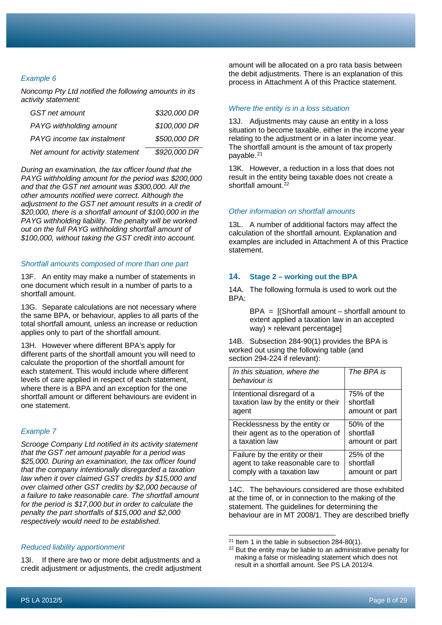# *Example 6*

*Noncomp Pty Ltd notified the following amounts in its activity statement:*

| GST net amount                    | \$320,000 DR |
|-----------------------------------|--------------|
| PAYG withholding amount           | \$100,000 DR |
| PAYG income tax instalment        | \$500,000 DR |
| Net amount for activity statement | \$920,000 DR |

*During an examination, the tax officer found that the PAYG withholding amount for the period was \$200,000 and that the GST net amount was \$300,000. All the other amounts notified were correct. Although the adjustment to the GST net amount results in a credit of \$20,000, there is a shortfall amount of \$100,000 in the PAYG withholding liability. The penalty will be worked out on the full PAYG withholding shortfall amount of \$100,000, without taking the GST credit into account.*

#### *Shortfall amounts composed of more than one part*

13F. An entity may make a number of statements in one document which result in a number of parts to a shortfall amount.

13G. Separate calculations are not necessary where the same BPA, or behaviour, applies to all parts of the total shortfall amount, unless an increase or reduction applies only to part of the shortfall amount.

13H. However where different BPA's apply for different parts of the shortfall amount you will need to calculate the proportion of the shortfall amount for each statement. This would include where different levels of care applied in respect of each statement, where there is a BPA and an exception for the one shortfall amount or different behaviours are evident in one statement.

#### *Example 7*

*Scrooge Company Ltd notified in its activity statement that the GST net amount payable for a period was \$25,000. During an examination, the tax officer found that the company intentionally disregarded a taxation law when it over claimed GST credits by \$15,000 and over claimed other GST credits by \$2,000 because of a failure to take reasonable care. The shortfall amount for the period is \$17,000 but in order to calculate the penalty the part shortfalls of \$15,000 and \$2,000 respectively would need to be established.*

<span id="page-8-1"></span><span id="page-8-0"></span>*Reduced liability apportionment*

13I. If there are two or more debit adjustments and a credit adjustment or adjustments, the credit adjustment amount will be allocated on a pro rata basis between the debit adjustments. There is an explanation of this process in Attachment A of this Practice statement.

#### *Where the entity is in a loss situation*

13J. Adjustments may cause an entity in a loss situation to become taxable, either in the income year relating to the adjustment or in a later income year. The shortfall amount is the amount of tax properly payable.<sup>[21](#page-8-0)</sup>

13K. However, a reduction in a loss that does not result in the entity being taxable does not create a shortfall amount.<sup>[22](#page-8-1)</sup>

#### *Other information on shortfall amounts*

13L. A number of additional factors may affect the calculation of the shortfall amount. Explanation and examples are included in Attachment A of this Practice statement.

#### **14. Stage 2 – working out the BPA**

14A. The following formula is used to work out the BPA:

> $BPA =$  [(Shortfall amount – shortfall amount to extent applied a taxation law in an accepted way) × relevant percentage]

14B. Subsection 284-90(1) provides the BPA is worked out using the following table (and section 294-224 if relevant):

| In this situation, where the<br>behaviour is | The BPA is     |
|----------------------------------------------|----------------|
| Intentional disregard of a                   | 75% of the     |
| taxation law by the entity or their          | shortfall      |
| agent                                        | amount or part |
| Recklessness by the entity or                | 50% of the     |
| their agent as to the operation of           | shortfall      |
| a taxation law                               | amount or part |
| Failure by the entity or their               | $25%$ of the   |
| agent to take reasonable care to             | shortfall      |
| comply with a taxation law                   | amount or part |

14C. The behaviours considered are those exhibited at the time of, or in connection to the making of the statement. The guidelines for determining the behaviour are in MT 2008/1. They are described briefly

 $21$  Item 1 in the table in subsection 284-80(1).

<sup>&</sup>lt;sup>22</sup> But the entity may be liable to an administrative penalty for making a false or misleading statement which does not result in a shortfall amount. See PS LA 2012/4.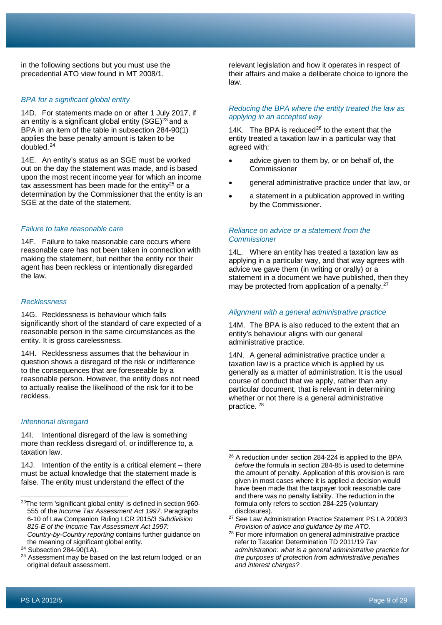in the following sections but you must use the precedential ATO view found in MT 2008/1.

#### *BPA for a significant global entity*

14D. For statements made on or after 1 July 2017, if an entity is a significant global entity  $(SGE)^{23}$  $(SGE)^{23}$  $(SGE)^{23}$  and a BPA in an item of the table in subsection 284-90(1) applies the base penalty amount is taken to be doubled.[24](#page-9-1)

14E. An entity's status as an SGE must be worked out on the day the statement was made, and is based upon the most recent income year for which an income tax assessment has been made for the entity $25$  or a determination by the Commissioner that the entity is an SGE at the date of the statement.

#### *Failure to take reasonable care*

14F. Failure to take reasonable care occurs where reasonable care has not been taken in connection with making the statement, but neither the entity nor their agent has been reckless or intentionally disregarded the law.

#### *Recklessness*

14G. Recklessness is behaviour which falls significantly short of the standard of care expected of a reasonable person in the same circumstances as the entity. It is gross carelessness.

14H. Recklessness assumes that the behaviour in question shows a disregard of the risk or indifference to the consequences that are foreseeable by a reasonable person. However, the entity does not need to actually realise the likelihood of the risk for it to be reckless.

#### *Intentional disregard*

14I. Intentional disregard of the law is something more than reckless disregard of, or indifference to, a taxation law.

<span id="page-9-3"></span>14J. Intention of the entity is a critical element – there must be actual knowledge that the statement made is false. The entity must understand the effect of the

relevant legislation and how it operates in respect of their affairs and make a deliberate choice to ignore the law.

## *Reducing the BPA where the entity treated the law as applying in an accepted way*

14K. The BPA is reduced $^{26}$  $^{26}$  $^{26}$  to the extent that the entity treated a taxation law in a particular way that agreed with:

- advice given to them by, or on behalf of, the Commissioner
- general administrative practice under that law, or
- a statement in a publication approved in writing by the Commissioner.

#### *Reliance on advice or a statement from the Commissioner*

14L. Where an entity has treated a taxation law as applying in a particular way, and that way agrees with advice we gave them (in writing or orally) or a statement in a document we have published, then they may be protected from application of a penalty.<sup>[27](#page-9-4)</sup>

#### *Alignment with a general administrative practice*

14M. The BPA is also reduced to the extent that an entity's behaviour aligns with our general administrative practice.

14N. A general administrative practice under a taxation law is a practice which is applied by us generally as a matter of administration. It is the usual course of conduct that we apply, rather than any particular document, that is relevant in determining whether or not there is a general administrative practice. [28](#page-9-5)

<span id="page-9-4"></span><span id="page-9-0"></span><sup>23</sup>The term 'significant global entity' is defined in section 960- 555 of the *Income Tax Assessment Act 1997*. Paragraphs 6-10 of Law Companion Ruling LCR 2015/3 *Subdivision 815-E of the Income Tax Assessment Act 1997: Country-by-Country reporting* contains further guidance on the meaning of significant global entity.

<span id="page-9-5"></span><span id="page-9-1"></span> $24$  Subsection 284-90(1A).

<span id="page-9-2"></span> $25$  Assessment may be based on the last return lodged, or an original default assessment.

<sup>&</sup>lt;sup>26</sup> A reduction under section 284-224 is applied to the BPA *before* the formula in section 284-85 is used to determine the amount of penalty. Application of this provision is rare given in most cases where it is applied a decision would have been made that the taxpayer took reasonable care and there was no penalty liability. The reduction in the formula only refers to section 284-225 (voluntary disclosures).

<sup>27</sup> See Law Administration Practice Statement PS LA 2008/3 *Provision of advice and guidance by the ATO*.

<sup>28</sup> For more information on general administrative practice refer to Taxation Determination TD 2011/19 *Tax administration: what is a general administrative practice for the purposes of protection from administrative penalties and interest charges?*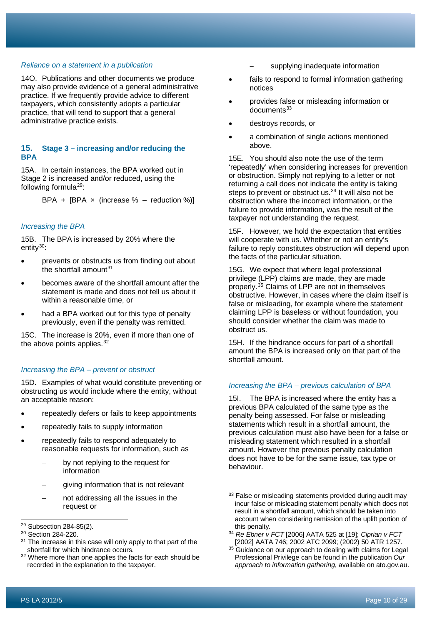#### *Reliance on a statement in a publication*

14O. Publications and other documents we produce may also provide evidence of a general administrative practice. If we frequently provide advice to different taxpayers, which consistently adopts a particular practice, that will tend to support that a general administrative practice exists.

# **15. Stage 3 – increasing and/or reducing the BPA**

15A. In certain instances, the BPA worked out in Stage 2 is increased and/or reduced, using the following formula $^{29}$  $^{29}$  $^{29}$ :

BPA + [BPA  $\times$  (increase % – reduction %)]

#### *Increasing the BPA*

15B. The BPA is increased by 20% where the entity $30$ :

- prevents or obstructs us from finding out about the shortfall amount $31$
- becomes aware of the shortfall amount after the statement is made and does not tell us about it within a reasonable time, or
- had a BPA worked out for this type of penalty previously, even if the penalty was remitted.

15C. The increase is 20%, even if more than one of the above points applies.  $32$ 

#### *Increasing the BPA – prevent or obstruct*

15D. Examples of what would constitute preventing or obstructing us would include where the entity, without an acceptable reason:

- repeatedly defers or fails to keep appointments
- repeatedly fails to supply information
- repeatedly fails to respond adequately to reasonable requests for information, such as
	- by not replying to the request for information
	- qiving information that is not relevant
	- not addressing all the issues in the request or
- supplying inadequate information
- fails to respond to formal information gathering notices
- provides false or misleading information or  $\frac{1}{2}$ documents<sup>[33](#page-10-4)</sup>
- destroys records, or
- a combination of single actions mentioned above.

15E. You should also note the use of the term 'repeatedly' when considering increases for prevention or obstruction. Simply not replying to a letter or not returning a call does not indicate the entity is taking steps to prevent or obstruct us.<sup>[34](#page-10-1)</sup> It will also not be obstruction where the incorrect information, or the failure to provide information, was the result of the taxpayer not understanding the request.

15F. However, we hold the expectation that entities will cooperate with us. Whether or not an entity's failure to reply constitutes obstruction will depend upon the facts of the particular situation.

15G. We expect that where legal professional privilege (LPP) claims are made, they are made properly. [35](#page-10-5) Claims of LPP are not in themselves obstructive. However, in cases where the claim itself is false or misleading, for example where the statement claiming LPP is baseless or without foundation, you should consider whether the claim was made to obstruct us.

15H. If the hindrance occurs for part of a shortfall amount the BPA is increased only on that part of the shortfall amount.

#### *Increasing the BPA – previous calculation of BPA*

15I. The BPA is increased where the entity has a previous BPA calculated of the same type as the penalty being assessed. For false or misleading statements which result in a shortfall amount, the previous calculation must also have been for a false or misleading statement which resulted in a shortfall amount. However the previous penalty calculation does not have to be for the same issue, tax type or behaviour.

<span id="page-10-4"></span><span id="page-10-0"></span><sup>29</sup> Subsection 284-85(2).

<span id="page-10-1"></span> $30$  Section 284-220.<br> $31$  The increase in the

<span id="page-10-2"></span>The increase in this case will only apply to that part of the shortfall for which hindrance occurs.

<span id="page-10-5"></span><span id="page-10-3"></span><sup>&</sup>lt;sup>32</sup> Where more than one applies the facts for each should be recorded in the explanation to the taxpayer.

<sup>&</sup>lt;sup>33</sup> False or misleading statements provided during audit may incur false or misleading statement penalty which does not result in a shortfall amount, which should be taken into account when considering remission of the uplift portion of this penalty.

<sup>34</sup> *Re Ebner v FCT* [2006] AATA 525 at [19]; *Ciprian v FCT* [2002] AATA 746; 2002 ATC 2099; (2002) 50 ATR 1257.

<sup>&</sup>lt;sup>35</sup> Guidance on our approach to dealing with claims for Legal Professional Privilege can be found in the publication *Our approach to information gathering*, available on ato.gov.au.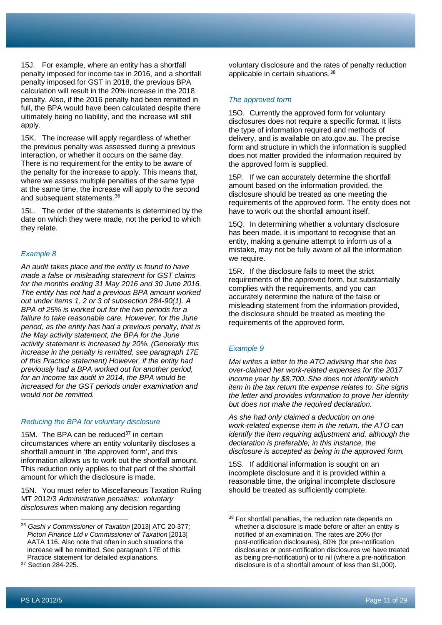15J. For example, where an entity has a shortfall penalty imposed for income tax in 2016, and a shortfall penalty imposed for GST in 2018, the previous BPA calculation will result in the 20% increase in the 2018 penalty. Also, if the 2016 penalty had been remitted in full, the BPA would have been calculated despite there ultimately being no liability, and the increase will still apply.

15K. The increase will apply regardless of whether the previous penalty was assessed during a previous interaction, or whether it occurs on the same day. There is no requirement for the entity to be aware of the penalty for the increase to apply. This means that, where we assess multiple penalties of the same type at the same time, the increase will apply to the second and subsequent statements.[36](#page-11-0)

15L. The order of the statements is determined by the date on which they were made, not the period to which they relate.

#### *Example 8*

*An audit takes place and the entity is found to have made a false or misleading statement for GST claims for the months ending 31 May 2016 and 30 June 2016. The entity has not had a previous BPA amount worked out under items 1, 2 or 3 of subsection 284-90(1). A BPA of 25% is worked out for the two periods for a failure to take reasonable care. However, for the June period, as the entity has had a previous penalty, that is the May activity statement, the BPA for the June activity statement is increased by 20%. (Generally this increase in the penalty is remitted, see paragraph 17E of this Practice statement) However, if the entity had previously had a BPA worked out for another period, for an income tax audit in 2014, the BPA would be increased for the GST periods under examination and would not be remitted.*

#### *Reducing the BPA for voluntary disclosure*

15M. The BPA can be reduced $37$  in certain circumstances where an entity voluntarily discloses a shortfall amount in 'the approved form', and this information allows us to work out the shortfall amount. This reduction only applies to that part of the shortfall amount for which the disclosure is made.

15N. You must refer to Miscellaneous Taxation Ruling MT 2012/3 *Administrative penalties: voluntary disclosures* when making any decision regarding

<span id="page-11-1"></span><sup>37</sup> Section 284-225.

voluntary disclosure and the rates of penalty reduction applicable in certain situations.<sup>[38](#page-11-2)</sup>

#### *The approved form*

15O. Currently the approved form for voluntary disclosures does not require a specific format. It lists the type of information required and methods of delivery, and is available on ato.gov.au. The precise form and structure in which the information is supplied does not matter provided the information required by the approved form is supplied.

15P. If we can accurately determine the shortfall amount based on the information provided, the disclosure should be treated as one meeting the requirements of the approved form. The entity does not have to work out the shortfall amount itself.

15Q. In determining whether a voluntary disclosure has been made, it is important to recognise that an entity, making a genuine attempt to inform us of a mistake, may not be fully aware of all the information we require.

15R. If the disclosure fails to meet the strict requirements of the approved form, but substantially complies with the requirements, and you can accurately determine the nature of the false or misleading statement from the information provided, the disclosure should be treated as meeting the requirements of the approved form.

#### *Example 9*

*Mai writes a letter to the ATO advising that she has over-claimed her work-related expenses for the 2017 income year by \$8,700. She does not identify which item in the tax return the expense relates to. She signs the letter and provides information to prove her identity but does not make the required declaration.*

*As she had only claimed a deduction on one work-related expense item in the return, the ATO can identify the item requiring adjustment and, although the declaration is preferable, in this instance, the disclosure is accepted as being in the approved form.*

15S. If additional information is sought on an incomplete disclosure and it is provided within a reasonable time, the original incomplete disclosure should be treated as sufficiently complete.

<span id="page-11-2"></span><span id="page-11-0"></span><sup>36</sup> *Gashi v Commissioner of Taxation* [2013] ATC 20-377; *Picton Finance Ltd v Commissioner of Taxation* [2013] AATA 116. Also note that often in such situations the increase will be remitted. See paragraph 17E of this Practice statement for detailed explanations.

<sup>&</sup>lt;sup>38</sup> For shortfall penalties, the reduction rate depends on whether a disclosure is made before or after an entity is notified of an examination. The rates are 20% (for post-notification disclosures), 80% (for pre-notification disclosures or post-notification disclosures we have treated as being pre-notification) or to nil (where a pre-notification disclosure is of a shortfall amount of less than \$1,000).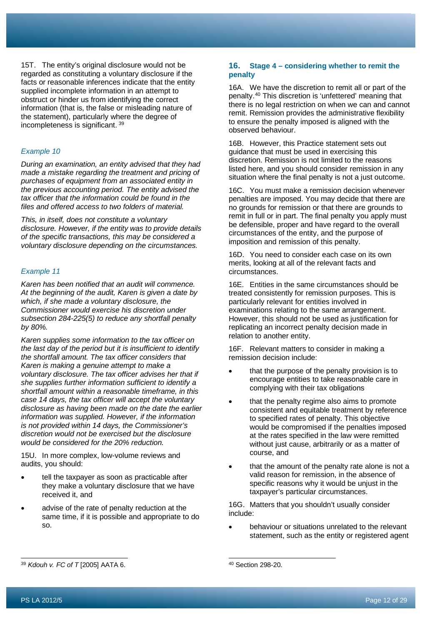15T. The entity's original disclosure would not be regarded as constituting a voluntary disclosure if the facts or reasonable inferences indicate that the entity supplied incomplete information in an attempt to obstruct or hinder us from identifying the correct information (that is, the false or misleading nature of the statement), particularly where the degree of incompleteness is significant. [39](#page-12-0)

# *Example 10*

*During an examination, an entity advised that they had made a mistake regarding the treatment and pricing of purchases of equipment from an associated entity in the previous accounting period. The entity advised the tax officer that the information could be found in the files and offered access to two folders of material.*

*This, in itself, does not constitute a voluntary disclosure. However, if the entity was to provide details of the specific transactions, this may be considered a voluntary disclosure depending on the circumstances.*

#### *Example 11*

*Karen has been notified that an audit will commence. At the beginning of the audit, Karen is given a date by which, if she made a voluntary disclosure, the Commissioner would exercise his discretion under subsection 284-225(5) to reduce any shortfall penalty by 80%.*

*Karen supplies some information to the tax officer on the last day of the period but it is insufficient to identify the shortfall amount. The tax officer considers that Karen is making a genuine attempt to make a voluntary disclosure. The tax officer advises her that if she supplies further information sufficient to identify a shortfall amount within a reasonable timeframe, in this case 14 days, the tax officer will accept the voluntary disclosure as having been made on the date the earlier information was supplied. However, if the information is not provided within 14 days, the Commissioner's discretion would not be exercised but the disclosure would be considered for the 20% reduction.*

15U. In more complex, low-volume reviews and audits, you should:

- tell the taxpayer as soon as practicable after they make a voluntary disclosure that we have received it, and
- advise of the rate of penalty reduction at the same time, if it is possible and appropriate to do so.

#### **16. Stage 4 – considering whether to remit the penalty**

16A. We have the discretion to remit all or part of the penalty.[40](#page-12-0) This discretion is 'unfettered' meaning that there is no legal restriction on when we can and cannot remit. Remission provides the administrative flexibility to ensure the penalty imposed is aligned with the observed behaviour.

16B. However, this Practice statement sets out guidance that must be used in exercising this discretion. Remission is not limited to the reasons listed here, and you should consider remission in any situation where the final penalty is not a just outcome.

16C. You must make a remission decision whenever penalties are imposed. You may decide that there are no grounds for remission or that there are grounds to remit in full or in part. The final penalty you apply must be defensible, proper and have regard to the overall circumstances of the entity, and the purpose of imposition and remission of this penalty.

16D. You need to consider each case on its own merits, looking at all of the relevant facts and circumstances.

16E. Entities in the same circumstances should be treated consistently for remission purposes. This is particularly relevant for entities involved in examinations relating to the same arrangement. However, this should not be used as justification for replicating an incorrect penalty decision made in relation to another entity.

16F. Relevant matters to consider in making a remission decision include:

- that the purpose of the penalty provision is to encourage entities to take reasonable care in complying with their tax obligations
- that the penalty regime also aims to promote consistent and equitable treatment by reference to specified rates of penalty. This objective would be compromised if the penalties imposed at the rates specified in the law were remitted without just cause, arbitrarily or as a matter of course, and
- that the amount of the penalty rate alone is not a valid reason for remission, in the absence of specific reasons why it would be unjust in the taxpayer's particular circumstances.

16G. Matters that you shouldn't usually consider include:

• behaviour or situations unrelated to the relevant statement, such as the entity or registered agent

<span id="page-12-0"></span><sup>39</sup> *Kdouh v. FC of T* [2005] AATA 6.

<sup>40</sup> Section 298-20.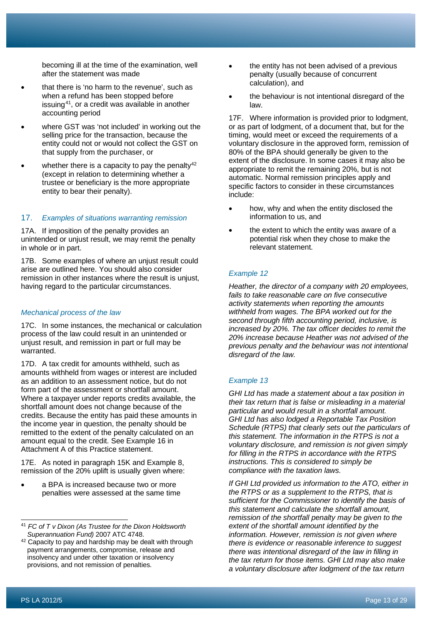becoming ill at the time of the examination, well after the statement was made

- that there is 'no harm to the revenue', such as when a refund has been stopped before issuing[41,](#page-13-0) or a credit was available in another accounting period
- where GST was 'not included' in working out the selling price for the transaction, because the entity could not or would not collect the GST on that supply from the purchaser, or
- whether there is a capacity to pay the penalty $42$ (except in relation to determining whether a trustee or beneficiary is the more appropriate entity to bear their penalty).

#### 17. *Examples of situations warranting remission*

17A. If imposition of the penalty provides an unintended or unjust result, we may remit the penalty in whole or in part.

17B. Some examples of where an unjust result could arise are outlined here. You should also consider remission in other instances where the result is unjust, having regard to the particular circumstances.

#### *Mechanical process of the law*

17C. In some instances, the mechanical or calculation process of the law could result in an unintended or unjust result, and remission in part or full may be warranted.

17D. A tax credit for amounts withheld, such as amounts withheld from wages or interest are included as an addition to an assessment notice, but do not form part of the assessment or shortfall amount. Where a taxpayer under reports credits available, the shortfall amount does not change because of the credits. Because the entity has paid these amounts in the income year in question, the penalty should be remitted to the extent of the penalty calculated on an amount equal to the credit. See Example 16 in Attachment A of this Practice statement.

17E. As noted in paragraph 15K and Example 8, remission of the 20% uplift is usually given where:

• a BPA is increased because two or more penalties were assessed at the same time

- the entity has not been advised of a previous penalty (usually because of concurrent calculation), and
- the behaviour is not intentional disregard of the law.

17F. Where information is provided prior to lodgment, or as part of lodgment, of a document that, but for the timing, would meet or exceed the requirements of a voluntary disclosure in the approved form, remission of 80% of the BPA should generally be given to the extent of the disclosure. In some cases it may also be appropriate to remit the remaining 20%, but is not automatic. Normal remission principles apply and specific factors to consider in these circumstances include:

- how, why and when the entity disclosed the information to us, and
- the extent to which the entity was aware of a potential risk when they chose to make the relevant statement.

# *Example 12*

*Heather, the director of a company with 20 employees, fails to take reasonable care on five consecutive activity statements when reporting the amounts withheld from wages. The BPA worked out for the second through fifth accounting period, inclusive, is increased by 20%. The tax officer decides to remit the 20% increase because Heather was not advised of the previous penalty and the behaviour was not intentional disregard of the law.*

#### *Example 13*

*GHI Ltd has made a statement about a tax position in their tax return that is false or misleading in a material particular and would result in a shortfall amount. GHI Ltd has also lodged a Reportable Tax Position Schedule (RTPS) that clearly sets out the particulars of this statement. The information in the RTPS is not a voluntary disclosure, and remission is not given simply for filling in the RTPS in accordance with the RTPS instructions. This is considered to simply be compliance with the taxation laws.*

*If GHI Ltd provided us information to the ATO, either in the RTPS or as a supplement to the RTPS, that is sufficient for the Commissioner to identify the basis of this statement and calculate the shortfall amount, remission of the shortfall penalty may be given to the extent of the shortfall amount identified by the information. However, remission is not given where there is evidence or reasonable inference to suggest there was intentional disregard of the law in filling in the tax return for those items. GHI Ltd may also make a voluntary disclosure after lodgment of the tax return*

<span id="page-13-0"></span><sup>41</sup> *FC of T v Dixon (As Trustee for the Dixon Holdsworth Superannuation Fund)* 2007 ATC 4748.

<span id="page-13-1"></span><sup>&</sup>lt;sup>42</sup> Capacity to pay and hardship may be dealt with through payment arrangements, compromise, release and insolvency and under other taxation or insolvency provisions, and not remission of penalties.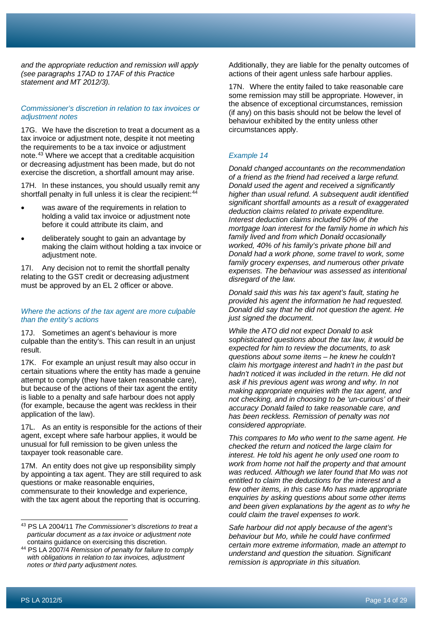*and the appropriate reduction and remission will apply (see paragraphs 17AD to 17AF of this Practice statement and MT 2012/3).*

# *Commissioner's discretion in relation to tax invoices or adjustment notes*

17G. We have the discretion to treat a document as a tax invoice or adjustment note, despite it not meeting the requirements to be a tax invoice or adjustment note. [43](#page-14-0) Where we accept that a creditable acquisition or decreasing adjustment has been made, but do not exercise the discretion, a shortfall amount may arise.

17H. In these instances, you should usually remit any shortfall penalty in full unless it is clear the recipient:<sup>[44](#page-14-1)</sup>

- was aware of the requirements in relation to holding a valid tax invoice or adjustment note before it could attribute its claim, and
- deliberately sought to gain an advantage by making the claim without holding a tax invoice or adjustment note.

17I. Any decision not to remit the shortfall penalty relating to the GST credit or decreasing adjustment must be approved by an EL 2 officer or above.

#### *Where the actions of the tax agent are more culpable than the entity's actions*

17J. Sometimes an agent's behaviour is more culpable than the entity's. This can result in an unjust result.

17K. For example an unjust result may also occur in certain situations where the entity has made a genuine attempt to comply (they have taken reasonable care), but because of the actions of their tax agent the entity is liable to a penalty and safe harbour does not apply (for example, because the agent was reckless in their application of the law).

17L. As an entity is responsible for the actions of their agent, except where safe harbour applies, it would be unusual for full remission to be given unless the taxpayer took reasonable care.

17M. An entity does not give up responsibility simply by appointing a tax agent. They are still required to ask questions or make reasonable enquiries, commensurate to their knowledge and experience, with the tax agent about the reporting that is occurring.

Additionally, they are liable for the penalty outcomes of actions of their agent unless safe harbour applies.

17N. Where the entity failed to take reasonable care some remission may still be appropriate. However, in the absence of exceptional circumstances, remission (if any) on this basis should not be below the level of behaviour exhibited by the entity unless other circumstances apply.

# *Example 14*

*Donald changed accountants on the recommendation of a friend as the friend had received a large refund. Donald used the agent and received a significantly higher than usual refund. A subsequent audit identified significant shortfall amounts as a result of exaggerated deduction claims related to private expenditure. Interest deduction claims included 50% of the mortgage loan interest for the family home in which his family lived and from which Donald occasionally worked, 40% of his family's private phone bill and Donald had a work phone, some travel to work, some family grocery expenses, and numerous other private expenses. The behaviour was assessed as intentional disregard of the law.*

*Donald said this was his tax agent's fault, stating he provided his agent the information he had requested. Donald did say that he did not question the agent. He just signed the document.*

*While the ATO did not expect Donald to ask sophisticated questions about the tax law, it would be expected for him to review the documents, to ask questions about some items – he knew he couldn't claim his mortgage interest and hadn't in the past but hadn't noticed it was included in the return. He did not ask if his previous agent was wrong and why. In not making appropriate enquiries with the tax agent, and not checking, and in choosing to be 'un-curious' of their accuracy Donald failed to take reasonable care, and has been reckless. Remission of penalty was not considered appropriate.*

*This compares to Mo who went to the same agent. He checked the return and noticed the large claim for interest. He told his agent he only used one room to work from home not half the property and that amount was reduced. Although we later found that Mo was not entitled to claim the deductions for the interest and a few other items, in this case Mo has made appropriate enquiries by asking questions about some other items and been given explanations by the agent as to why he could claim the travel expenses to work.*

*Safe harbour did not apply because of the agent's behaviour but Mo, while he could have confirmed certain more extreme information, made an attempt to understand and question the situation. Significant remission is appropriate in this situation.*

<span id="page-14-0"></span><sup>43</sup> PS LA 2004/11 *The Commissioner's discretions to treat a particular document as a tax invoice or adjustment note* contains guidance on exercising this discretion.

<span id="page-14-1"></span><sup>44</sup> PS LA 2007/4 *Remission of penalty for failure to comply with obligations in relation to tax invoices, adjustment notes or third party adjustment notes.*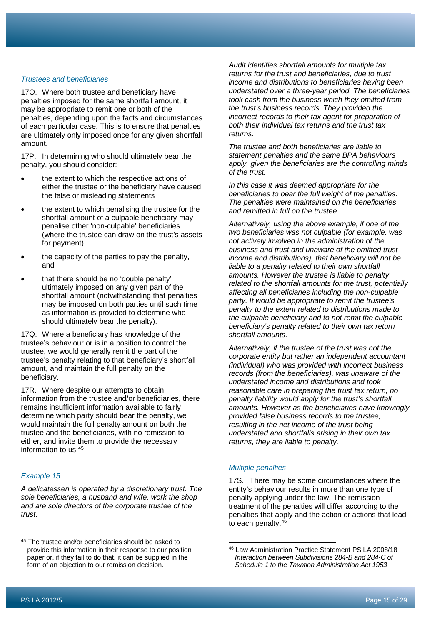#### *Trustees and beneficiaries*

17O. Where both trustee and beneficiary have penalties imposed for the same shortfall amount, it may be appropriate to remit one or both of the penalties, depending upon the facts and circumstances of each particular case. This is to ensure that penalties are ultimately only imposed once for any given shortfall amount.

17P. In determining who should ultimately bear the penalty, you should consider:

- the extent to which the respective actions of either the trustee or the beneficiary have caused the false or misleading statements
- the extent to which penalising the trustee for the shortfall amount of a culpable beneficiary may penalise other 'non-culpable' beneficiaries (where the trustee can draw on the trust's assets for payment)
- the capacity of the parties to pay the penalty, and
- that there should be no 'double penalty' ultimately imposed on any given part of the shortfall amount (notwithstanding that penalties may be imposed on both parties until such time as information is provided to determine who should ultimately bear the penalty).

17Q. Where a beneficiary has knowledge of the trustee's behaviour or is in a position to control the trustee, we would generally remit the part of the trustee's penalty relating to that beneficiary's shortfall amount, and maintain the full penalty on the beneficiary.

17R. Where despite our attempts to obtain information from the trustee and/or beneficiaries, there remains insufficient information available to fairly determine which party should bear the penalty, we would maintain the full penalty amount on both the trustee and the beneficiaries, with no remission to either, and invite them to provide the necessary information to us.[45](#page-15-0)

#### *Example 15*

*A delicatessen is operated by a discretionary trust. The sole beneficiaries, a husband and wife, work the shop and are sole directors of the corporate trustee of the trust.*

*Audit identifies shortfall amounts for multiple tax returns for the trust and beneficiaries, due to trust income and distributions to beneficiaries having been understated over a three-year period. The beneficiaries took cash from the business which they omitted from the trust's business records. They provided the incorrect records to their tax agent for preparation of both their individual tax returns and the trust tax returns.*

*The trustee and both beneficiaries are liable to statement penalties and the same BPA behaviours apply, given the beneficiaries are the controlling minds of the trust.*

*In this case it was deemed appropriate for the beneficiaries to bear the full weight of the penalties. The penalties were maintained on the beneficiaries and remitted in full on the trustee.*

*Alternatively, using the above example, if one of the two beneficiaries was not culpable (for example, was not actively involved in the administration of the business and trust and unaware of the omitted trust income and distributions), that beneficiary will not be liable to a penalty related to their own shortfall amounts. However the trustee is liable to penalty related to the shortfall amounts for the trust, potentially affecting all beneficiaries including the non-culpable party. It would be appropriate to remit the trustee's penalty to the extent related to distributions made to the culpable beneficiary and to not remit the culpable beneficiary's penalty related to their own tax return shortfall amounts.*

*Alternatively, if the trustee of the trust was not the corporate entity but rather an independent accountant (individual) who was provided with incorrect business records (from the beneficiaries), was unaware of the understated income and distributions and took reasonable care in preparing the trust tax return, no penalty liability would apply for the trust's shortfall amounts. However as the beneficiaries have knowingly provided false business records to the trustee, resulting in the net income of the trust being understated and shortfalls arising in their own tax returns, they are liable to penalty.*

#### *Multiple penalties*

17S. There may be some circumstances where the entity's behaviour results in more than one type of penalty applying under the law. The remission treatment of the penalties will differ according to the penalties that apply and the action or actions that lead to each penalty. $46$ 

<span id="page-15-1"></span><span id="page-15-0"></span><sup>45</sup> The trustee and/or beneficiaries should be asked to provide this information in their response to our position paper or, if they fail to do that, it can be supplied in the form of an objection to our remission decision.

<sup>46</sup> Law Administration Practice Statement PS LA 2008/18 *Interaction between Subdivisions 284-B and 284-C of Schedule 1 to the Taxation Administration Act 1953*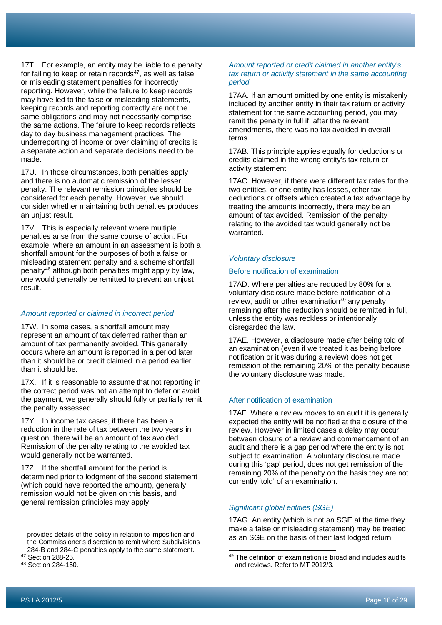17T. For example, an entity may be liable to a penalty for failing to keep or retain records $47$ , as well as false or misleading statement penalties for incorrectly reporting. However, while the failure to keep records may have led to the false or misleading statements, keeping records and reporting correctly are not the same obligations and may not necessarily comprise the same actions. The failure to keep records reflects day to day business management practices. The underreporting of income or over claiming of credits is a separate action and separate decisions need to be made.

17U. In those circumstances, both penalties apply and there is no automatic remission of the lesser penalty. The relevant remission principles should be considered for each penalty. However, we should consider whether maintaining both penalties produces an unjust result.

17V. This is especially relevant where multiple penalties arise from the same course of action. For example, where an amount in an assessment is both a shortfall amount for the purposes of both a false or misleading statement penalty and a scheme shortfall penalty[48](#page-16-1) although both penalties might apply by law, one would generally be remitted to prevent an unjust result.

#### *Amount reported or claimed in incorrect period*

17W. In some cases, a shortfall amount may represent an amount of tax deferred rather than an amount of tax permanently avoided. This generally occurs where an amount is reported in a period later than it should be or credit claimed in a period earlier than it should be.

17X. If it is reasonable to assume that not reporting in the correct period was not an attempt to defer or avoid the payment, we generally should fully or partially remit the penalty assessed.

17Y. In income tax cases, if there has been a reduction in the rate of tax between the two years in question, there will be an amount of tax avoided. Remission of the penalty relating to the avoided tax would generally not be warranted.

17Z. If the shortfall amount for the period is determined prior to lodgment of the second statement (which could have reported the amount), generally remission would not be given on this basis, and general remission principles may apply.

provides details of the policy in relation to imposition and the Commissioner's discretion to remit where Subdivisions 284-B and 284-C penalties apply to the same statement.

<span id="page-16-1"></span><sup>48</sup> Section 284-150.

#### *Amount reported or credit claimed in another entity's tax return or activity statement in the same accounting period*

17AA. If an amount omitted by one entity is mistakenly included by another entity in their tax return or activity statement for the same accounting period, you may remit the penalty in full if, after the relevant amendments, there was no tax avoided in overall terms.

17AB. This principle applies equally for deductions or credits claimed in the wrong entity's tax return or activity statement.

17AC. However, if there were different tax rates for the two entities, or one entity has losses, other tax deductions or offsets which created a tax advantage by treating the amounts incorrectly, there may be an amount of tax avoided. Remission of the penalty relating to the avoided tax would generally not be warranted.

#### *Voluntary disclosure*

#### Before notification of examination

17AD. Where penalties are reduced by 80% for a voluntary disclosure made before notification of a review, audit or other examination<sup>[49](#page-16-0)</sup> any penalty remaining after the reduction should be remitted in full, unless the entity was reckless or intentionally disregarded the law.

17AE. However, a disclosure made after being told of an examination (even if we treated it as being before notification or it was during a review) does not get remission of the remaining 20% of the penalty because the voluntary disclosure was made.

#### After notification of examination

17AF. Where a review moves to an audit it is generally expected the entity will be notified at the closure of the review. However in limited cases a delay may occur between closure of a review and commencement of an audit and there is a gap period where the entity is not subject to examination. A voluntary disclosure made during this 'gap' period, does not get remission of the remaining 20% of the penalty on the basis they are not currently 'told' of an examination.

## *Significant global entities (SGE)*

17AG. An entity (which is not an SGE at the time they make a false or misleading statement) may be treated as an SGE on the basis of their last lodged return,

<span id="page-16-0"></span><sup>47</sup> Section 288-25.

<sup>49</sup> The definition of examination is broad and includes audits and reviews. Refer to MT 2012/3.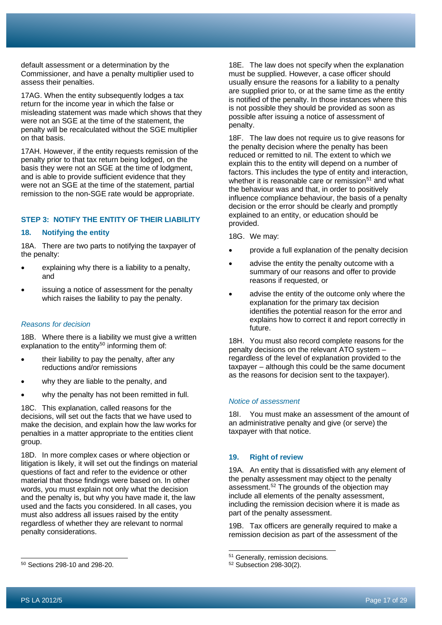**STEP 3: NOTIFY THE ENTITY OF THEIR LIABILITY**

assess their penalties.

on that basis.

# **18. Notifying the entity**

18A. There are two parts to notifying the taxpayer of the penalty:

default assessment or a determination by the Commissioner, and have a penalty multiplier used to

17AG. When the entity subsequently lodges a tax return for the income year in which the false or

misleading statement was made which shows that they were not an SGE at the time of the statement, the penalty will be recalculated without the SGE multiplier

17AH. However, if the entity requests remission of the penalty prior to that tax return being lodged, on the basis they were not an SGE at the time of lodgment, and is able to provide sufficient evidence that they were not an SGE at the time of the statement, partial remission to the non-SGE rate would be appropriate.

- explaining why there is a liability to a penalty, and
- issuing a notice of assessment for the penalty which raises the liability to pay the penalty.

#### *Reasons for decision*

18B. Where there is a liability we must give a written explanation to the entity<sup>50</sup> informing them of:

- their liability to pay the penalty, after any reductions and/or remissions
- why they are liable to the penalty, and
- why the penalty has not been remitted in full.

18C. This explanation, called reasons for the decisions, will set out the facts that we have used to make the decision, and explain how the law works for penalties in a matter appropriate to the entities client group.

18D. In more complex cases or where objection or litigation is likely, it will set out the findings on material questions of fact and refer to the evidence or other material that those findings were based on. In other words, you must explain not only what the decision and the penalty is, but why you have made it, the law used and the facts you considered. In all cases, you must also address all issues raised by the entity regardless of whether they are relevant to normal penalty considerations.

18E. The law does not specify when the explanation must be supplied. However, a case officer should usually ensure the reasons for a liability to a penalty are supplied prior to, or at the same time as the entity is notified of the penalty. In those instances where this is not possible they should be provided as soon as possible after issuing a notice of assessment of penalty.

18F. The law does not require us to give reasons for the penalty decision where the penalty has been reduced or remitted to nil. The extent to which we explain this to the entity will depend on a number of factors. This includes the type of entity and interaction, whether it is reasonable care or remission<sup>[51](#page-17-1)</sup> and what the behaviour was and that, in order to positively influence compliance behaviour, the basis of a penalty decision or the error should be clearly and promptly explained to an entity, or education should be provided.

18G. We may:

- provide a full explanation of the penalty decision
- advise the entity the penalty outcome with a summary of our reasons and offer to provide reasons if requested, or
- advise the entity of the outcome only where the explanation for the primary tax decision identifies the potential reason for the error and explains how to correct it and report correctly in future.

18H. You must also record complete reasons for the penalty decisions on the relevant ATO system – regardless of the level of explanation provided to the taxpayer – although this could be the same document as the reasons for decision sent to the taxpayer).

# *Notice of assessment*

18I. You must make an assessment of the amount of an administrative penalty and give (or serve) the taxpayer with that notice.

# **19. Right of review**

19A. An entity that is dissatisfied with any element of the penalty assessment may object to the penalty assessment.<sup>[52](#page-17-0)</sup> The grounds of the objection may include all elements of the penalty assessment, including the remission decision where it is made as part of the penalty assessment.

19B. Tax officers are generally required to make a remission decision as part of the assessment of the

<span id="page-17-1"></span><span id="page-17-0"></span><sup>50</sup> Sections 298-10 and 298-20.

<sup>&</sup>lt;sup>51</sup> Generally, remission decisions.

<sup>52</sup> Subsection 298-30(2).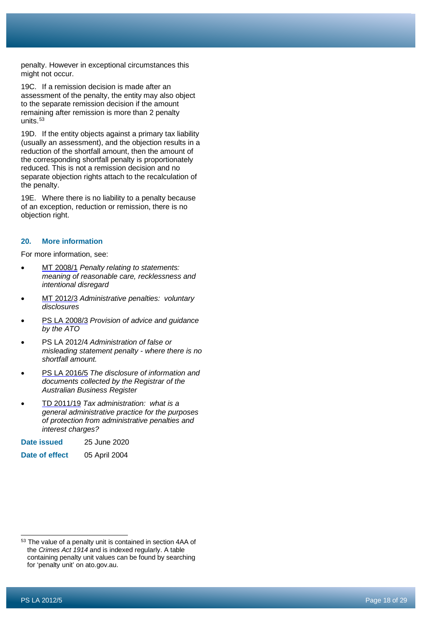penalty. However in exceptional circumstances this might not occur.

19C. If a remission decision is made after an assessment of the penalty, the entity may also object to the separate remission decision if the amount remaining after remission is more than 2 penalty units.<sup>[53](#page-18-0)</sup>

19D. If the entity objects against a primary tax liability (usually an assessment), and the objection results in a reduction of the shortfall amount, then the amount of the corresponding shortfall penalty is proportionately reduced. This is not a remission decision and no separate objection rights attach to the recalculation of the penalty.

19E. Where there is no liability to a penalty because of an exception, reduction or remission, there is no objection right.

# **20. More information**

For more information, see:

- MT [2008/1](http://ato.gov.au/law/view/document?DocID=MXR/MT20081/NAT/ATO/00001) *Penalty relating to statements: meaning of reasonable care, recklessness and intentional disregard*
- MT [2012/3](http://ato.gov.au/law/view/document?DocID=MXR/MT20123/NAT/ATO/00001) *Administrative penalties: voluntary disclosures*
- PS LA [2008/3](http://ato.gov.au/law/view/document?DocID=PSR/PS20083/NAT/ATO/00001) *Provision of advice and guidance by the ATO*
- PS LA [2012/4](http://atolaw/130222143912/FullScreen.htm?DocID=PSR/PS20124/NAT/ATO/00001&PiT=99991231235958&Database=ATO) *Administration of false or misleading statement penalty - where there is no shortfall amount.*
- PS LA [2016/5](http://ato.gov.au/law/view/document?DocID=PSR/PS20165/NAT/ATO/00001) *The disclosure of information and documents collected by the Registrar of the Australian Business Register*
- TD [2011/19](http://ato.gov.au/law/view/document?DocID=TXD/TD201119/NAT/ATO/00001) *Tax administration: what is a general administrative practice for the purposes of protection from administrative penalties and interest charges?*
- **Date issued** 25 June 2020
- **Date of effect** 05 April 2004

<span id="page-18-0"></span><sup>&</sup>lt;sup>53</sup> The value of a penalty unit is contained in section 4AA of the *Crimes Act 1914* and is indexed regularly. A table containing penalty unit values can be found by searching for 'penalty unit' on ato.gov.au.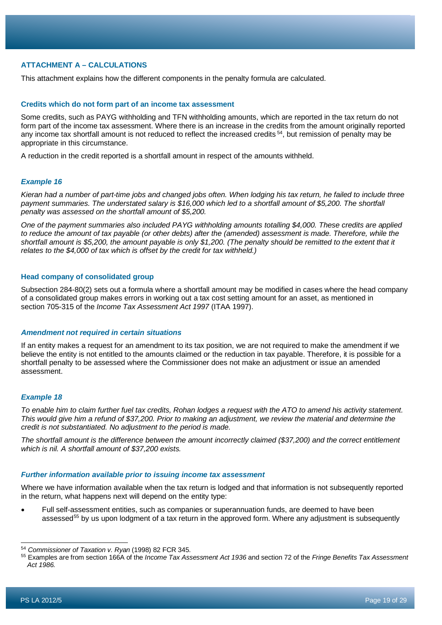# **ATTACHMENT A – CALCULATIONS**

This attachment explains how the different components in the penalty formula are calculated.

## **Credits which do not form part of an income tax assessment**

Some credits, such as PAYG withholding and TFN withholding amounts, which are reported in the tax return do not form part of the income tax assessment. Where there is an increase in the credits from the amount originally reported any income tax shortfall amount is not reduced to reflect the increased credits <sup>54</sup>, but remission of penalty may be appropriate in this circumstance.

A reduction in the credit reported is a shortfall amount in respect of the amounts withheld.

# *Example 16*

*Kieran had a number of part-time jobs and changed jobs often. When lodging his tax return, he failed to include three payment summaries. The understated salary is \$16,000 which led to a shortfall amount of \$5,200. The shortfall penalty was assessed on the shortfall amount of \$5,200.*

*One of the payment summaries also included PAYG withholding amounts totalling \$4,000. These credits are applied to reduce the amount of tax payable (or other debts) after the (amended) assessment is made. Therefore, while the shortfall amount is \$5,200, the amount payable is only \$1,200. (The penalty should be remitted to the extent that it relates to the \$4,000 of tax which is offset by the credit for tax withheld.)*

#### **Head company of consolidated group**

Subsection 284-80(2) sets out a formula where a shortfall amount may be modified in cases where the head company of a consolidated group makes errors in working out a tax cost setting amount for an asset, as mentioned in section 705-315 of the *Income Tax Assessment Act 1997* (ITAA 1997).

#### *Amendment not required in certain situations*

If an entity makes a request for an amendment to its tax position, we are not required to make the amendment if we believe the entity is not entitled to the amounts claimed or the reduction in tax payable. Therefore, it is possible for a shortfall penalty to be assessed where the Commissioner does not make an adjustment or issue an amended assessment.

#### *Example 18*

*To enable him to claim further fuel tax credits, Rohan lodges a request with the ATO to amend his activity statement. This would give him a refund of \$37,200. Prior to making an adjustment, we review the material and determine the credit is not substantiated. No adjustment to the period is made.*

*The shortfall amount is the difference between the amount incorrectly claimed (\$37,200) and the correct entitlement which is nil. A shortfall amount of \$37,200 exists.*

#### *Further information available prior to issuing income tax assessment*

Where we have information available when the tax return is lodged and that information is not subsequently reported in the return, what happens next will depend on the entity type:

• Full self-assessment entities, such as companies or superannuation funds, are deemed to have been assessed<sup>[55](#page-19-1)</sup> by us upon lodgment of a tax return in the approved form. Where any adjustment is subsequently

<span id="page-19-0"></span><sup>54</sup> *Commissioner of Taxation v. Ryan* (1998) 82 FCR 345.

<span id="page-19-1"></span><sup>55</sup> Examples are from section 166A of the *Income Tax Assessment Act 1936* and section 72 of the *Fringe Benefits Tax Assessment Act 1986.*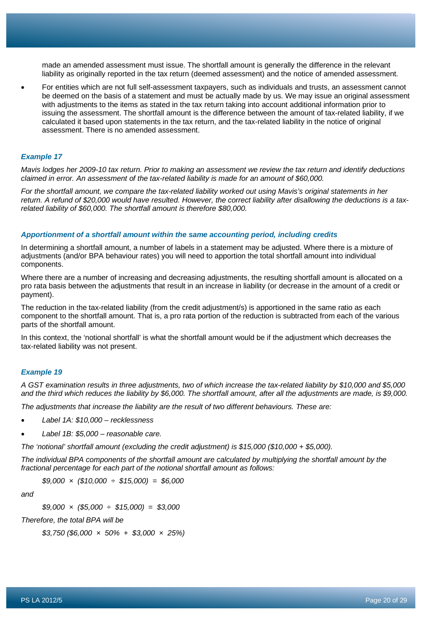made an amended assessment must issue. The shortfall amount is generally the difference in the relevant liability as originally reported in the tax return (deemed assessment) and the notice of amended assessment.

• For entities which are not full self-assessment taxpayers, such as individuals and trusts, an assessment cannot be deemed on the basis of a statement and must be actually made by us. We may issue an original assessment with adjustments to the items as stated in the tax return taking into account additional information prior to issuing the assessment. The shortfall amount is the difference between the amount of tax-related liability, if we calculated it based upon statements in the tax return, and the tax-related liability in the notice of original assessment. There is no amended assessment.

#### *Example 17*

*Mavis lodges her 2009-10 tax return. Prior to making an assessment we review the tax return and identify deductions claimed in error. An assessment of the tax-related liability is made for an amount of \$60,000.*

*For the shortfall amount, we compare the tax-related liability worked out using Mavis's original statements in her return. A refund of \$20,000 would have resulted. However, the correct liability after disallowing the deductions is a taxrelated liability of \$60,000. The shortfall amount is therefore \$80,000.*

#### *Apportionment of a shortfall amount within the same accounting period, including credits*

In determining a shortfall amount, a number of labels in a statement may be adjusted. Where there is a mixture of adjustments (and/or BPA behaviour rates) you will need to apportion the total shortfall amount into individual components.

Where there are a number of increasing and decreasing adjustments, the resulting shortfall amount is allocated on a pro rata basis between the adjustments that result in an increase in liability (or decrease in the amount of a credit or payment).

The reduction in the tax-related liability (from the credit adjustment/s) is apportioned in the same ratio as each component to the shortfall amount. That is, a pro rata portion of the reduction is subtracted from each of the various parts of the shortfall amount.

In this context, the 'notional shortfall' is what the shortfall amount would be if the adjustment which decreases the tax-related liability was not present.

#### *Example 19*

*A GST examination results in three adjustments, two of which increase the tax-related liability by \$10,000 and \$5,000 and the third which reduces the liability by \$6,000. The shortfall amount, after all the adjustments are made, is \$9,000.*

*The adjustments that increase the liability are the result of two different behaviours. These are:*

- *Label 1A: \$10,000 – recklessness*
- *Label 1B: \$5,000 – reasonable care.*

*The 'notional' shortfall amount (excluding the credit adjustment) is \$15,000 (\$10,000 + \$5,000).*

*The individual BPA components of the shortfall amount are calculated by multiplying the shortfall amount by the fractional percentage for each part of the notional shortfall amount as follows:*

*\$9,000 × (\$10,000 ÷ \$15,000) = \$6,000*

*and*

*\$9,000 × (\$5,000 ÷ \$15,000) = \$3,000*

*Therefore, the total BPA will be*

*\$3,750 (\$6,000 × 50% + \$3,000 × 25%)*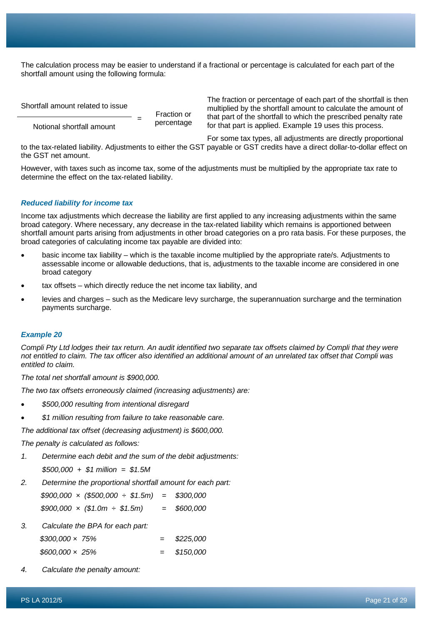The calculation process may be easier to understand if a fractional or percentage is calculated for each part of the shortfall amount using the following formula:

Shortfall amount related to issue Fraction or<br>percentage Notional shortfall amount

The fraction or percentage of each part of the shortfall is then multiplied by the shortfall amount to calculate the amount of that part of the shortfall to which the prescribed penalty rate for that part is applied. Example 19 uses this process.

For some tax types, all adjustments are directly proportional to the tax-related liability. Adjustments to either the GST payable or GST credits have a direct dollar-to-dollar effect on the GST net amount.

However, with taxes such as income tax, some of the adjustments must be multiplied by the appropriate tax rate to determine the effect on the tax-related liability.

#### *Reduced liability for income tax*

Income tax adjustments which decrease the liability are first applied to any increasing adjustments within the same broad category. Where necessary, any decrease in the tax-related liability which remains is apportioned between shortfall amount parts arising from adjustments in other broad categories on a pro rata basis. For these purposes, the broad categories of calculating income tax payable are divided into:

- basic income tax liability which is the taxable income multiplied by the appropriate rate/s. Adjustments to assessable income or allowable deductions, that is, adjustments to the taxable income are considered in one broad category
- tax offsets which directly reduce the net income tax liability, and
- levies and charges such as the Medicare levy surcharge, the superannuation surcharge and the termination payments surcharge.

#### *Example 20*

*Compli Pty Ltd lodges their tax return. An audit identified two separate tax offsets claimed by Compli that they were not entitled to claim. The tax officer also identified an additional amount of an unrelated tax offset that Compli was entitled to claim.*

*The total net shortfall amount is \$900,000.*

*The two tax offsets erroneously claimed (increasing adjustments) are:*

- *\$500,000 resulting from intentional disregard*
- *\$1 million resulting from failure to take reasonable care.*

*The additional tax offset (decreasing adjustment) is \$600,000.*

*The penalty is calculated as follows:*

- *1. Determine each debit and the sum of the debit adjustments:*
	- *\$500,000 + \$1 million = \$1.5M*
- *2. Determine the proportional shortfall amount for each part:*

*\$900,000 × (\$500,000 ÷ \$1.5m) = \$300,000 \$900,000 × (\$1.0m ÷ \$1.5m) = \$600,000*

*3. Calculate the BPA for each part:*

| $$300,000 \times 75\%$ |  | \$225,000 |
|------------------------|--|-----------|
| $$600,000 \times 25\%$ |  | \$150.000 |

*4. Calculate the penalty amount:*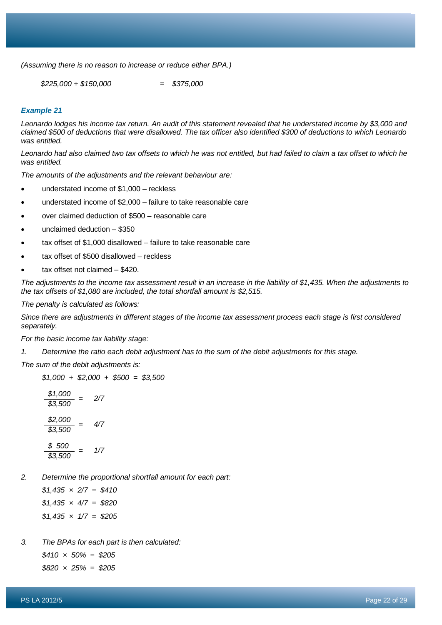*(Assuming there is no reason to increase or reduce either BPA.)*

*\$225,000 + \$150,000 = \$375,000*

#### *Example 21*

*Leonardo lodges his income tax return. An audit of this statement revealed that he understated income by \$3,000 and claimed \$500 of deductions that were disallowed. The tax officer also identified \$300 of deductions to which Leonardo was entitled.*

*Leonardo had also claimed two tax offsets to which he was not entitled, but had failed to claim a tax offset to which he was entitled.*

*The amounts of the adjustments and the relevant behaviour are:*

- understated income of \$1,000 reckless
- understated income of \$2,000 failure to take reasonable care
- over claimed deduction of \$500 reasonable care
- unclaimed deduction \$350
- tax offset of \$1,000 disallowed failure to take reasonable care
- tax offset of \$500 disallowed reckless
- tax offset not claimed \$420.

*The adjustments to the income tax assessment result in an increase in the liability of \$1,435. When the adjustments to the tax offsets of \$1,080 are included, the total shortfall amount is \$2,515.*

*The penalty is calculated as follows:*

*Since there are adjustments in different stages of the income tax assessment process each stage is first considered separately.*

*For the basic income tax liability stage:*

*1. Determine the ratio each debit adjustment has to the sum of the debit adjustments for this stage.*

*The sum of the debit adjustments is:*

$$
$1,000 + $2,000 + $500 = $3,500
$$

$$
\frac{$1,000}{$3,500} = 2/7
$$
  

$$
\frac{$2,000}{$3,500} = 4/7
$$
  

$$
\frac{$5,500}{$3,500} = 1/7
$$

*2. Determine the proportional shortfall amount for each part:*

*\$1,435 × 2/7 = \$410 \$1,435 × 4/7 = \$820 \$1,435 × 1/7 = \$205*

*3. The BPAs for each part is then calculated: \$410 × 50% = \$205*

*\$820 × 25% = \$205*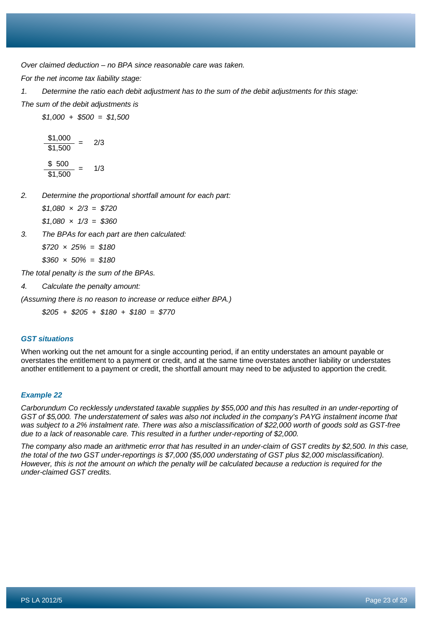*Over claimed deduction – no BPA since reasonable care was taken.*

*For the net income tax liability stage:*

*1. Determine the ratio each debit adjustment has to the sum of the debit adjustments for this stage: The sum of the debit adjustments is*

*\$1,000 + \$500 = \$1,500*

 $\frac{$1,000}{$1,500}$  = 2/3  $\frac{$ 500}{$1,500} = 1/3$ 

*2. Determine the proportional shortfall amount for each part:*

*\$1,080 × 2/3 = \$720*

*\$1,080 × 1/3 = \$360*

*3. The BPAs for each part are then calculated:*

*\$720 × 25% = \$180*

*\$360 × 50% = \$180*

*The total penalty is the sum of the BPAs.*

*4. Calculate the penalty amount:*

*(Assuming there is no reason to increase or reduce either BPA.)*

*\$205 + \$205 + \$180 + \$180 = \$770*

# *GST situations*

When working out the net amount for a single accounting period, if an entity understates an amount payable or overstates the entitlement to a payment or credit, and at the same time overstates another liability or understates another entitlement to a payment or credit, the shortfall amount may need to be adjusted to apportion the credit.

# *Example 22*

*Carborundum Co recklessly understated taxable supplies by \$55,000 and this has resulted in an under-reporting of GST of \$5,000. The understatement of sales was also not included in the company's PAYG instalment income that was subject to a 2% instalment rate. There was also a misclassification of \$22,000 worth of goods sold as GST-free due to a lack of reasonable care. This resulted in a further under-reporting of \$2,000.*

*The company also made an arithmetic error that has resulted in an under-claim of GST credits by \$2,500. In this case, the total of the two GST under-reportings is \$7,000 (\$5,000 understating of GST plus \$2,000 misclassification). However, this is not the amount on which the penalty will be calculated because a reduction is required for the under-claimed GST credits.*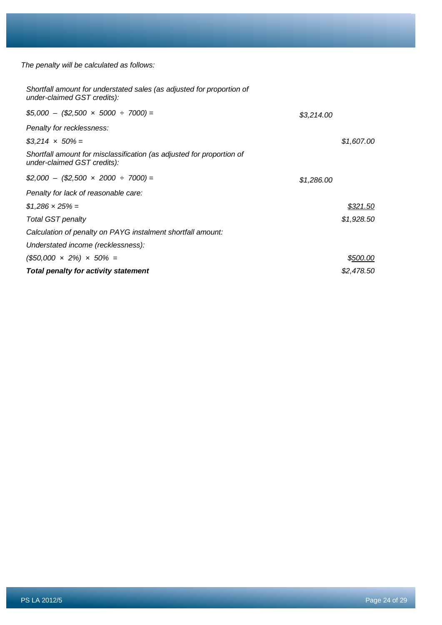*The penalty will be calculated as follows:*

| <b>Total penalty for activity statement</b>                                                          |            | \$2,478.50 |
|------------------------------------------------------------------------------------------------------|------------|------------|
| $(\$50,000 \times 2\%) \times 50\% =$                                                                |            | \$500.00   |
| Understated income (recklessness):                                                                   |            |            |
| Calculation of penalty on PAYG instalment shortfall amount:                                          |            |            |
| <b>Total GST penalty</b>                                                                             |            | \$1,928.50 |
| $$1,286 \times 25\% =$                                                                               |            | \$321.50   |
| Penalty for lack of reasonable care:                                                                 |            |            |
| $$2,000 - ($2,500 \times 2000 \div 7000) =$                                                          | \$1,286.00 |            |
| Shortfall amount for misclassification (as adjusted for proportion of<br>under-claimed GST credits): |            |            |
| $$3,214 \times 50\% =$                                                                               |            | \$1,607.00 |
| Penalty for recklessness:                                                                            |            |            |
| $$5,000 - ($2,500 \times 5000 \div 7000) =$                                                          | \$3,214.00 |            |
| Shortfall amount for understated sales (as adjusted for proportion of<br>under-claimed GST credits): |            |            |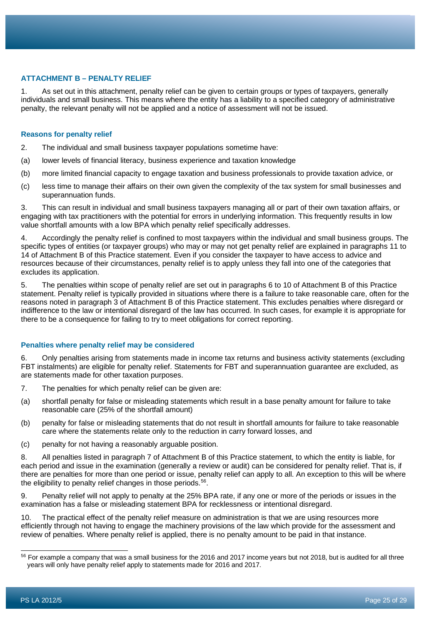# **ATTACHMENT B – PENALTY RELIEF**

1. As set out in this attachment, penalty relief can be given to certain groups or types of taxpayers, generally individuals and small business. This means where the entity has a liability to a specified category of administrative penalty, the relevant penalty will not be applied and a notice of assessment will not be issued.

#### **Reasons for penalty relief**

- 2. The individual and small business taxpayer populations sometime have:
- (a) lower levels of financial literacy, business experience and taxation knowledge
- (b) more limited financial capacity to engage taxation and business professionals to provide taxation advice, or
- (c) less time to manage their affairs on their own given the complexity of the tax system for small businesses and superannuation funds.

3. This can result in individual and small business taxpayers managing all or part of their own taxation affairs, or engaging with tax practitioners with the potential for errors in underlying information. This frequently results in low value shortfall amounts with a low BPA which penalty relief specifically addresses.

4. Accordingly the penalty relief is confined to most taxpayers within the individual and small business groups. The specific types of entities (or taxpayer groups) who may or may not get penalty relief are explained in paragraphs 11 to 14 of Attachment B of this Practice statement. Even if you consider the taxpayer to have access to advice and resources because of their circumstances, penalty relief is to apply unless they fall into one of the categories that excludes its application.

5. The penalties within scope of penalty relief are set out in paragraphs 6 to 10 of Attachment B of this Practice statement. Penalty relief is typically provided in situations where there is a failure to take reasonable care, often for the reasons noted in paragraph 3 of Attachment B of this Practice statement. This excludes penalties where disregard or indifference to the law or intentional disregard of the law has occurred. In such cases, for example it is appropriate for there to be a consequence for failing to try to meet obligations for correct reporting.

# **Penalties where penalty relief may be considered**

6. Only penalties arising from statements made in income tax returns and business activity statements (excluding FBT instalments) are eligible for penalty relief. Statements for FBT and superannuation guarantee are excluded, as are statements made for other taxation purposes.

- 7. The penalties for which penalty relief can be given are:
- (a) shortfall penalty for false or misleading statements which result in a base penalty amount for failure to take reasonable care (25% of the shortfall amount)
- (b) penalty for false or misleading statements that do not result in shortfall amounts for failure to take reasonable care where the statements relate only to the reduction in carry forward losses, and
- (c) penalty for not having a reasonably arguable position.

8. All penalties listed in paragraph 7 of Attachment B of this Practice statement, to which the entity is liable, for each period and issue in the examination (generally a review or audit) can be considered for penalty relief. That is, if there are penalties for more than one period or issue, penalty relief can apply to all. An exception to this will be where the eligibility to penalty relief changes in those periods.<sup>56</sup>.

9. Penalty relief will not apply to penalty at the 25% BPA rate, if any one or more of the periods or issues in the examination has a false or misleading statement BPA for recklessness or intentional disregard.

10. The practical effect of the penalty relief measure on administration is that we are using resources more efficiently through not having to engage the machinery provisions of the law which provide for the assessment and review of penalties. Where penalty relief is applied, there is no penalty amount to be paid in that instance.

<span id="page-25-0"></span><sup>&</sup>lt;sup>56</sup> For example a company that was a small business for the 2016 and 2017 income years but not 2018, but is audited for all three years will only have penalty relief apply to statements made for 2016 and 2017.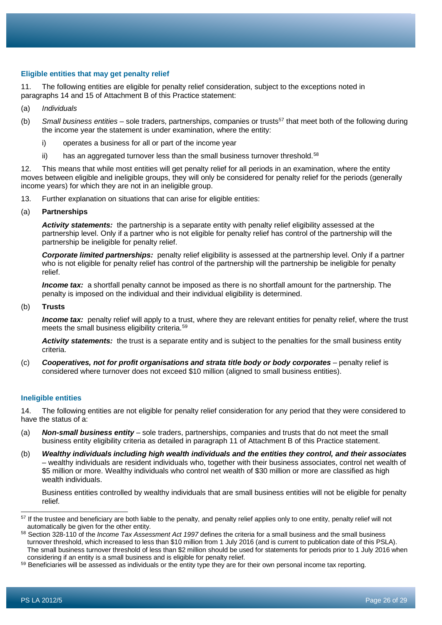# **Eligible entities that may get penalty relief**

11. The following entities are eligible for penalty relief consideration, subject to the exceptions noted in paragraphs 14 and 15 of Attachment B of this Practice statement:

- (a) *Individuals*
- (b) *Small business entities* sole traders, partnerships, companies or trusts[57](#page-26-0) that meet both of the following during the income year the statement is under examination, where the entity:
	- i) operates a business for all or part of the income year
	- ii) has an aggregated turnover less than the small business turnover threshold.<sup>[58](#page-26-1)</sup>

12. This means that while most entities will get penalty relief for all periods in an examination, where the entity moves between eligible and ineligible groups, they will only be considered for penalty relief for the periods (generally income years) for which they are not in an ineligible group.

13. Further explanation on situations that can arise for eligible entities:

(a) **Partnerships**

*Activity statements:* the partnership is a separate entity with penalty relief eligibility assessed at the partnership level. Only if a partner who is not eligible for penalty relief has control of the partnership will the partnership be ineligible for penalty relief.

*Corporate limited partnerships:* penalty relief eligibility is assessed at the partnership level. Only if a partner who is not eligible for penalty relief has control of the partnership will the partnership be ineligible for penalty relief.

*Income tax:* a shortfall penalty cannot be imposed as there is no shortfall amount for the partnership. The penalty is imposed on the individual and their individual eligibility is determined.

(b) **Trusts**

*Income tax:* penalty relief will apply to a trust, where they are relevant entities for penalty relief, where the trust meets the small business eligibility criteria.[59](#page-26-2)

*Activity statements:* the trust is a separate entity and is subject to the penalties for the small business entity criteria.

(c) *Cooperatives, not for profit organisations and strata title body or body corporates* – penalty relief is considered where turnover does not exceed \$10 million (aligned to small business entities).

#### **Ineligible entities**

14. The following entities are not eligible for penalty relief consideration for any period that they were considered to have the status of a:

- (a) *Non-small business entity* sole traders, partnerships, companies and trusts that do not meet the small business entity eligibility criteria as detailed in paragraph 11 of Attachment B of this Practice statement.
- (b) *Wealthy individuals including high wealth individuals and the entities they control, and their associates –* wealthy individuals are resident individuals who, together with their business associates, control net wealth of \$5 million or more. Wealthy individuals who control net wealth of \$30 million or more are classified as high wealth individuals.

Business entities controlled by wealthy individuals that are small business entities will not be eligible for penalty relief*.*

<span id="page-26-0"></span><sup>&</sup>lt;sup>57</sup> If the trustee and beneficiary are both liable to the penalty, and penalty relief applies only to one entity, penalty relief will not automatically be given for the other entity.

<span id="page-26-1"></span><sup>58</sup> Section 328-110 of the *Income Tax Assessment Act 1997* defines the criteria for a small business and the small business turnover threshold, which increased to less than \$10 million from 1 July 2016 (and is current to publication date of this PSLA). The small business turnover threshold of less than \$2 million should be used for statements for periods prior to 1 July 2016 when considering if an entity is a small business and is eligible for penalty relief.

<span id="page-26-2"></span><sup>59</sup> Beneficiaries will be assessed as individuals or the entity type they are for their own personal income tax reporting.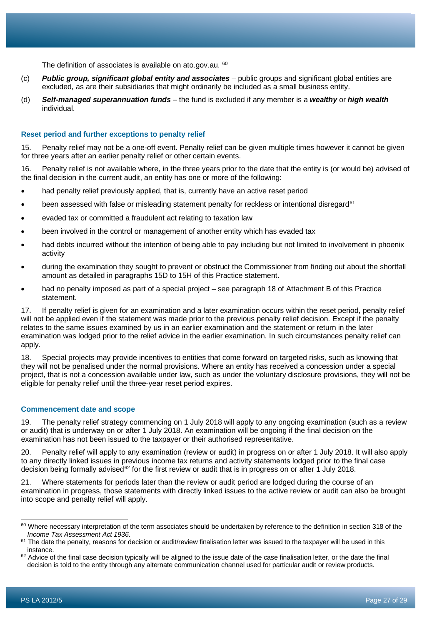The definition of associates is available on ato.gov.au. [60](#page-27-0)

- (c) *Public group, significant global entity and associates* public groups and significant global entities are excluded, as are their subsidiaries that might ordinarily be included as a small business entity.
- (d) *Self-managed superannuation funds* the fund is excluded if any member is a *wealthy* or *high wealth* individual.

# **Reset period and further exceptions to penalty relief**

15. Penalty relief may not be a one-off event. Penalty relief can be given multiple times however it cannot be given for three years after an earlier penalty relief or other certain events.

16. Penalty relief is not available where, in the three years prior to the date that the entity is (or would be) advised of the final decision in the current audit, an entity has one or more of the following:

- had penalty relief previously applied, that is, currently have an active reset period
- been assessed with false or misleading statement penalty for reckless or intentional disregard<sup>[61](#page-27-1)</sup>
- evaded tax or committed a fraudulent act relating to taxation law
- been involved in the control or management of another entity which has evaded tax
- had debts incurred without the intention of being able to pay including but not limited to involvement in phoenix activity
- during the examination they sought to prevent or obstruct the Commissioner from finding out about the shortfall amount as detailed in paragraphs 15D to 15H of this Practice statement.
- had no penalty imposed as part of a special project see paragraph 18 of Attachment B of this Practice statement.

17. If penalty relief is given for an examination and a later examination occurs within the reset period, penalty relief will not be applied even if the statement was made prior to the previous penalty relief decision. Except if the penalty relates to the same issues examined by us in an earlier examination and the statement or return in the later examination was lodged prior to the relief advice in the earlier examination. In such circumstances penalty relief can apply.

18. Special projects may provide incentives to entities that come forward on targeted risks, such as knowing that they will not be penalised under the normal provisions. Where an entity has received a concession under a special project, that is not a concession available under law, such as under the voluntary disclosure provisions, they will not be eligible for penalty relief until the three-year reset period expires.

# **Commencement date and scope**

19. The penalty relief strategy commencing on 1 July 2018 will apply to any ongoing examination (such as a review or audit) that is underway on or after 1 July 2018. An examination will be ongoing if the final decision on the examination has not been issued to the taxpayer or their authorised representative.

20. Penalty relief will apply to any examination (review or audit) in progress on or after 1 July 2018. It will also apply to any directly linked issues in previous income tax returns and activity statements lodged prior to the final case decision being formally advised<sup>[62](#page-27-2)</sup> for the first review or audit that is in progress on or after 1 July 2018.

21. Where statements for periods later than the review or audit period are lodged during the course of an examination in progress, those statements with directly linked issues to the active review or audit can also be brought into scope and penalty relief will apply.

<span id="page-27-0"></span><sup>60</sup> Where necessary interpretation of the term associates should be undertaken by reference to the definition in section 318 of the *Income Tax Assessment Act 1936*.

<span id="page-27-1"></span> $61$  The date the penalty, reasons for decision or audit/review finalisation letter was issued to the taxpayer will be used in this instance.

<span id="page-27-2"></span><sup>&</sup>lt;sup>62</sup> Advice of the final case decision typically will be aligned to the issue date of the case finalisation letter, or the date the final decision is told to the entity through any alternate communication channel used for particular audit or review products.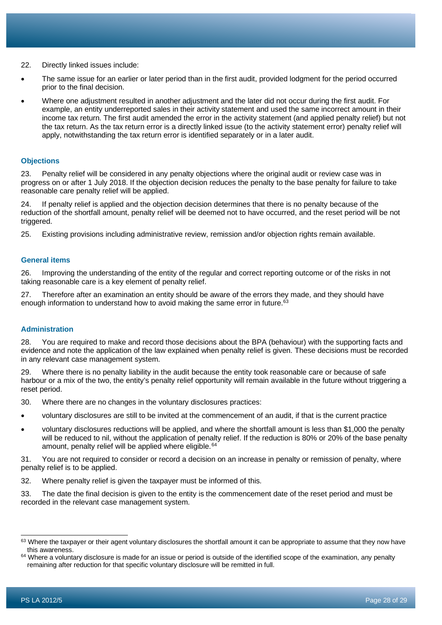22. Directly linked issues include:

- The same issue for an earlier or later period than in the first audit, provided lodgment for the period occurred prior to the final decision.
- Where one adjustment resulted in another adjustment and the later did not occur during the first audit. For example, an entity underreported sales in their activity statement and used the same incorrect amount in their income tax return. The first audit amended the error in the activity statement (and applied penalty relief) but not the tax return. As the tax return error is a directly linked issue (to the activity statement error) penalty relief will apply, notwithstanding the tax return error is identified separately or in a later audit.

# **Objections**

23. Penalty relief will be considered in any penalty objections where the original audit or review case was in progress on or after 1 July 2018. If the objection decision reduces the penalty to the base penalty for failure to take reasonable care penalty relief will be applied.

24. If penalty relief is applied and the objection decision determines that there is no penalty because of the reduction of the shortfall amount, penalty relief will be deemed not to have occurred, and the reset period will be not triggered.

25. Existing provisions including administrative review, remission and/or objection rights remain available.

#### **General items**

26. Improving the understanding of the entity of the regular and correct reporting outcome or of the risks in not taking reasonable care is a key element of penalty relief.

27. Therefore after an examination an entity should be aware of the errors they made, and they should have enough information to understand how to avoid making the same error in future. $63$ 

# **Administration**

28. You are required to make and record those decisions about the BPA (behaviour) with the supporting facts and evidence and note the application of the law explained when penalty relief is given. These decisions must be recorded in any relevant case management system.

29. Where there is no penalty liability in the audit because the entity took reasonable care or because of safe harbour or a mix of the two, the entity's penalty relief opportunity will remain available in the future without triggering a reset period.

30. Where there are no changes in the voluntary disclosures practices:

- voluntary disclosures are still to be invited at the commencement of an audit, if that is the current practice
- voluntary disclosures reductions will be applied, and where the shortfall amount is less than \$1,000 the penalty will be reduced to nil, without the application of penalty relief. If the reduction is 80% or 20% of the base penalty amount, penalty relief will be applied where eligible.<sup>[64](#page-28-1)</sup>

31. You are not required to consider or record a decision on an increase in penalty or remission of penalty, where penalty relief is to be applied.

- 32. Where penalty relief is given the taxpayer must be informed of this.
- 33. The date the final decision is given to the entity is the commencement date of the reset period and must be recorded in the relevant case management system.

<span id="page-28-0"></span><sup>&</sup>lt;sup>63</sup> Where the taxpayer or their agent voluntary disclosures the shortfall amount it can be appropriate to assume that they now have this awareness.

<span id="page-28-1"></span><sup>64</sup> Where a voluntary disclosure is made for an issue or period is outside of the identified scope of the examination, any penalty remaining after reduction for that specific voluntary disclosure will be remitted in full.